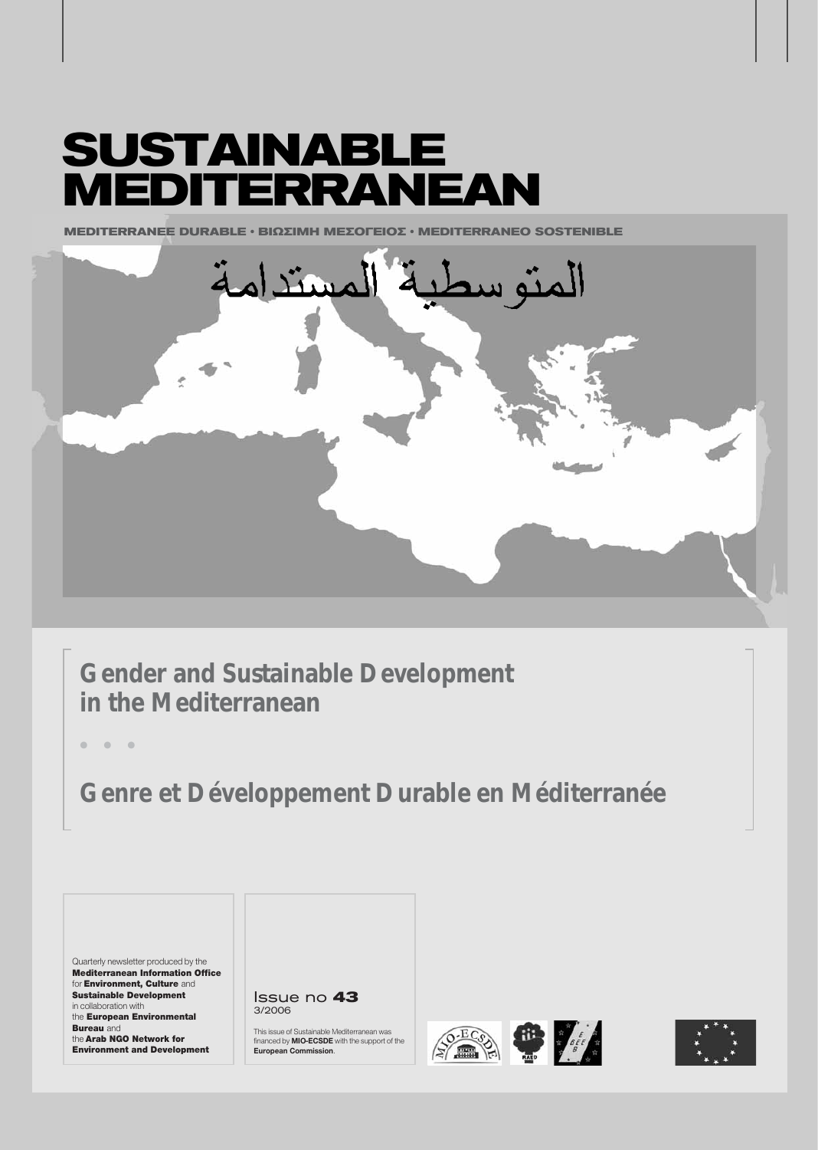# **SUSTAINABLE MEDITERRANEAN**

**MEDITERRANEE DURABLE · ΒΙΩΣΙΜΗ ΜΕΣΟΓΕΙΟΣ · MEDITERRANEO SOSTENIBLE** 



**Gender and Sustainable Development in the Mediterranean**

**ñ ñ ñ**

**Genre et Développement Durable en Méditerranée**

Quarterly newsletter produced by the Mediterranean Information Office for Environment, Culture and Sustainable Development in collaboration with the European Environmental **Bureau** and the Arab NGO Network for Environment and Development

Issue no **43** 3/2006

This issue of Sustainable Mediterranean was financed by **MIO-ECSDE** with the support of the **European Commission**.





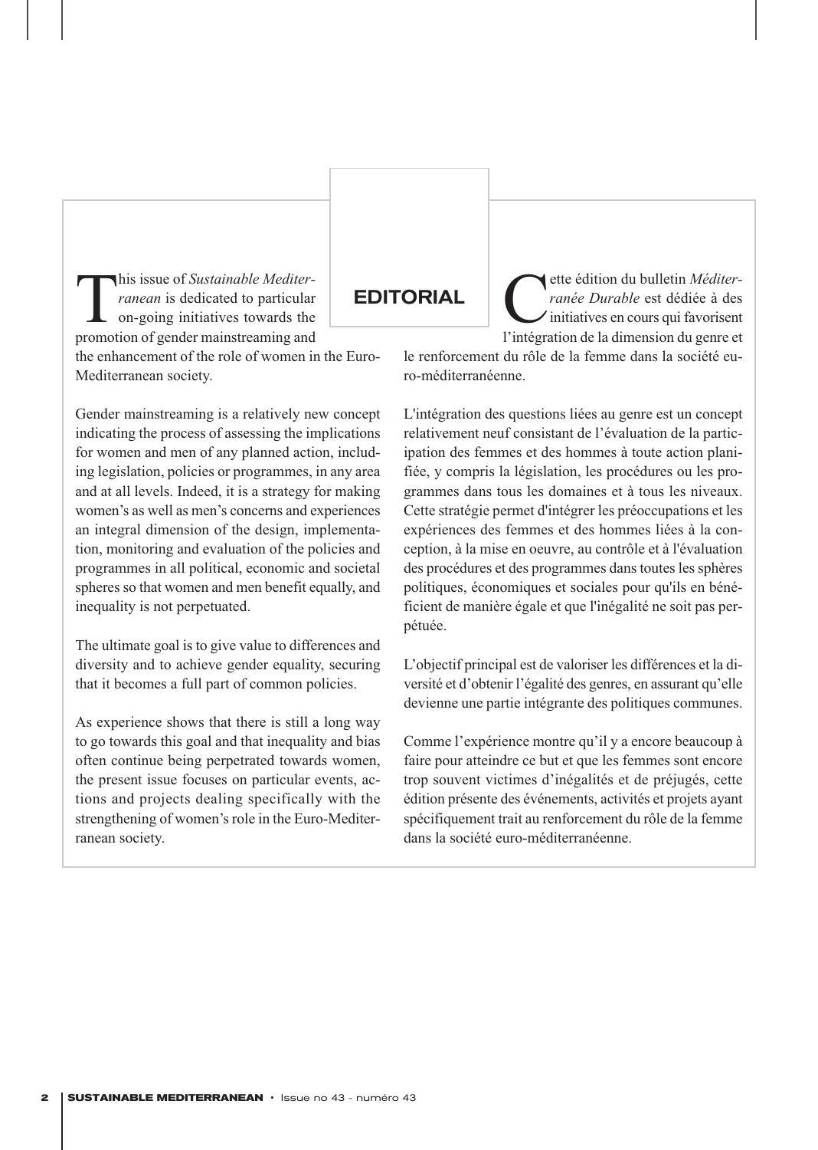This issue of *Sustainable Mediter-*<br>
ranean is dedicated to particular<br>
on-going initiatives towards the<br>
promotion of gender mainstreaming and *ranean* is dedicated to particular on-going initiatives towards the promotion of gender mainstreaming and the enhancement of the role of women in the Euro-Mediterranean society.

Gender mainstreaming is a relatively new concept indicating the process of assessing the implications for women and men of any planned action, including legislation, policies or programmes, in any area and at all levels. Indeed, it is a strategy for making women's as well as men's concerns and experiences an integral dimension of the design, implementation, monitoring and evaluation of the policies and programmes in all political, economic and societal spheres so that women and men benefit equally, and inequality is not perpetuated.

The ultimate goal is to give value to differences and diversity and to achieve gender equality, securing that it becomes a full part of common policies.

As experience shows that there is still a long way to go towards this goal and that inequality and bias often continue being perpetrated towards women, the present issue focuses on particular events, actions and projects dealing specifically with the strengthening of women's role in the Euro-Mediterranean society.

# **EDITORIAL**

ette édition du bulletin Méditer*ranée Durable* est dédiée à des initiatives en cours qui favorisent l'intégration de la dimension du genre et

le renforcement du rôle de la femme dans la société euro-méditerranéenne.

L'intégration des questions liées au genre est un concept relativement neuf consistant de l'évaluation de la participation des femmes et des hommes à toute action planifiée, y compris la législation, les procédures ou les programmes dans tous les domaines et à tous les niveaux. Cette stratégie permet d'intégrer les préoccupations et les expériences des femmes et des hommes liées à la conception, à la mise en oeuvre, au contrôle et à l'évaluation des procédures et des programmes dans toutes les sphères politiques, économiques et sociales pour qu'ils en bénéficient de manière égale et que l'inégalité ne soit pas perpétuée.

L'objectif principal est de valoriser les différences et la diversité et d'obtenir l'égalité des genres, en assurant qu'elle devienne une partie intégrante des politiques communes.

Comme l'expérience montre qu'il y a encore beaucoup à faire pour atteindre ce but et que les femmes sont encore trop souvent victimes d'inégalités et de préjugés, cette édition présente des événements, activités et projets ayant spécifiquement trait au renforcement du rôle de la femme dans la société euro-méditerranéenne.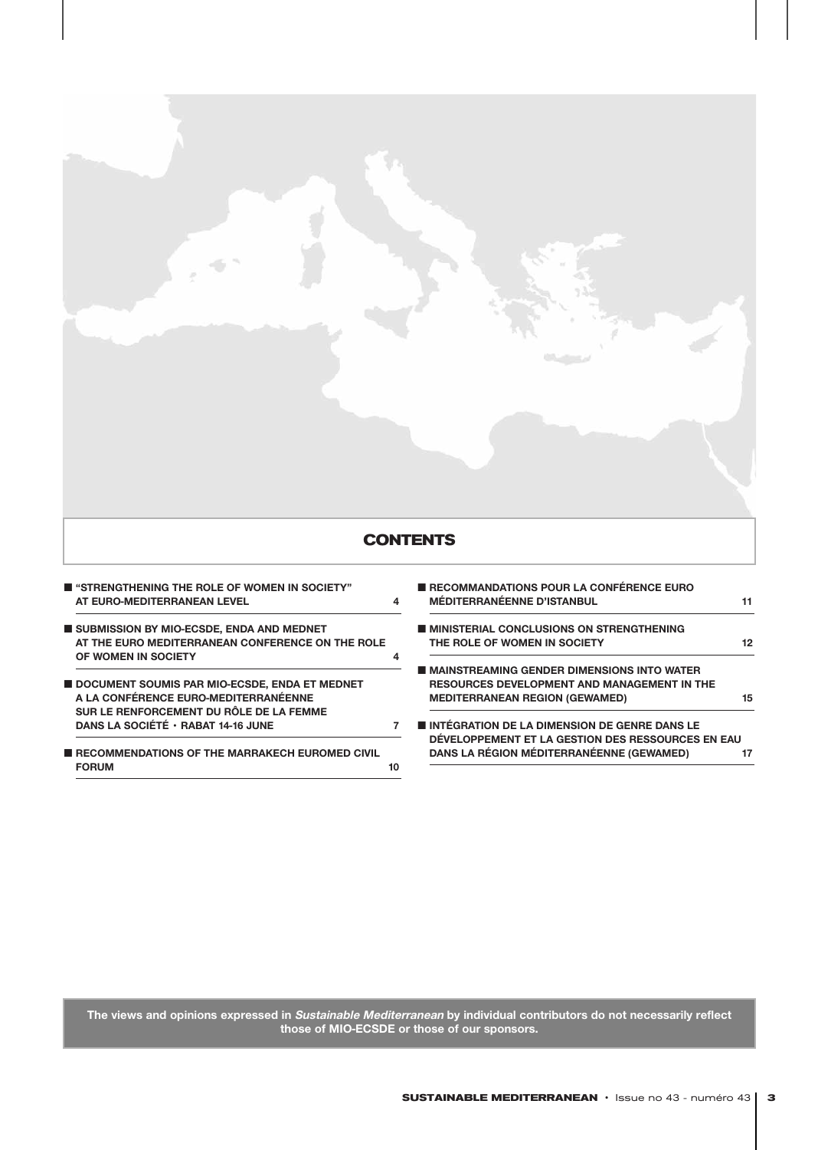

■ **"STRENGTHENING THE ROLE OF WOMEN IN SOCIETY" AT EURO-MEDITERRANEAN LEVEL 4**

■ **SUBMISSION BY MIO-ECSDE, ENDA AND MEDNET AT THE EURO MEDITERRANEAN CONFERENCE ON THE ROLE OF WOMEN IN SOCIETY 4**

■ **DOCUMENT SOUMIS PAR MIO-ECSDE, ENDA ET MEDNET A LA CONFÉRENCE EURO-MEDITERRANÉENNE SUR LE RENFORCEMENT DU RÔLE DE LA FEMME DANS LA SOCIÉTÉ • RABAT 14-16 JUNE 7** 

■ **RECOMMENDATIONS OF THE MARRAKECH EUROMED CIVIL FORUM** 10

| RECOMMANDATIONS POUR LA CONFÉRENCE EURO<br><b>MÉDITERRANÉENNE D'ISTANBUL</b> | 11 |
|------------------------------------------------------------------------------|----|
| ■ MINISTERIAL CONCLUSIONS ON STRENGTHENING                                   |    |
| THE ROLE OF WOMEN IN SOCIETY                                                 | 12 |
| ■ MAINSTREAMING GENDER DIMENSIONS INTO WATER                                 |    |
| <b>RESOURCES DEVELOPMENT AND MANAGEMENT IN THE</b>                           |    |
| <b>MEDITERRANEAN REGION (GEWAMED)</b>                                        | 15 |
| INTÉGRATION DE LA DIMENSION DE GENRE DANS LE                                 |    |
| DÉVELOPPEMENT ET LA GESTION DES RESSOURCES EN EAU                            |    |
| DANS LA RÉGION MÉDITERRANÉENNE (GEWAMED)                                     |    |

**The views and opinions expressed in Sustainable Mediterranean by individual contributors do not necessarily reflect those of MIO-ECSDE or those of our sponsors.**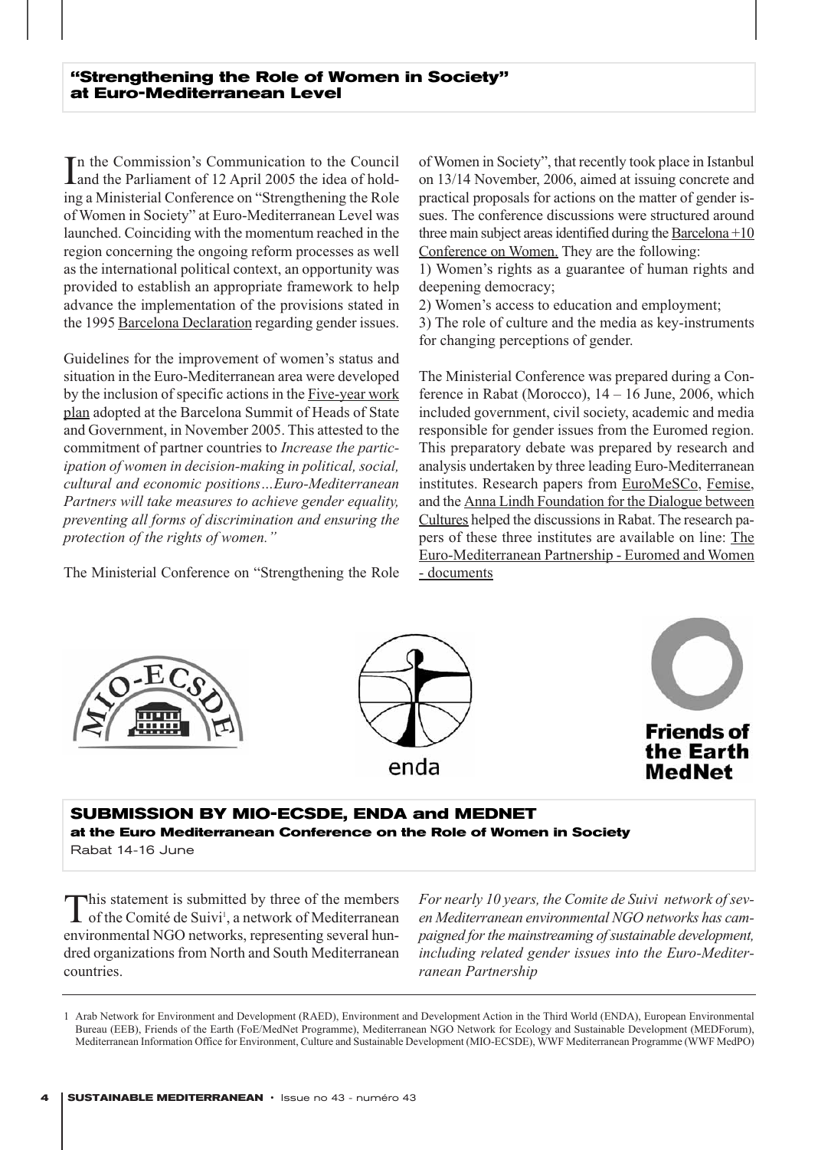In the Commission's Communication to the Council<br>and the Parliament of 12 April 2005 the idea of holdn the Commission's Communication to the Council ing a Ministerial Conference on "Strengthening the Role of Women in Society" at Euro-Mediterranean Level was launched. Coinciding with the momentum reached in the region concerning the ongoing reform processes as well as the international political context, an opportunity was provided to establish an appropriate framework to help advance the implementation of the provisions stated in the 1995 Barcelona Declaration regarding gender issues.

Guidelines for the improvement of women's status and situation in the Euro-Mediterranean area were developed by the inclusion of specific actions in the <u>Five-year work</u> plan adopted at the Barcelona Summit of Heads of State and Government, in November 2005. This attested to the commitment of partner countries to *Increase the participation of women in decision-making in political, social, cultural and economic positions…Euro-Mediterranean Partners will take measures to achieve gender equality, preventing all forms of discrimination and ensuring the protection of the rights of women."*

The Ministerial Conference on "Strengthening the Role

of Women in Society", that recently took place in Istanbul on 13/14 November, 2006, aimed at issuing concrete and practical proposals for actions on the matter of gender issues. The conference discussions were structured around three main subject areas identified during the Barcelona +10 Conference on Women. They are the following:

1) Women's rights as a guarantee of human rights and deepening democracy;

2) Women's access to education and employment;

3) The role of culture and the media as key-instruments for changing perceptions of gender.

The Ministerial Conference was prepared during a Conference in Rabat (Morocco), 14 – 16 June, 2006, which included government, civil society, academic and media responsible for gender issues from the Euromed region. This preparatory debate was prepared by research and analysis undertaken by three leading Euro-Mediterranean institutes. Research papers from EuroMeSCo, Femise, and the Anna Lindh Foundation for the Dialogue between Cultures helped the discussions in Rabat. The research papers of these three institutes are available on line: The Euro-Mediterranean Partnership - Euromed and Women - documents







# **SUBMISSION BY MIO-ECSDE, ENDA and MEDNET at the Euro Mediterranean Conference on the Role of Women in Society**

Rabat 14-16 June

This statement is submitted by three of the members of the Comité de Suivi<sup>1</sup>, a network of Mediterranean environmental NGO networks, representing several hundred organizations from North and South Mediterranean countries.

*For nearly 10 years, the Comite de Suivi network of seven Mediterranean environmental NGO networks has campaigned for the mainstreaming of sustainable development, including related gender issues into the Euro-Mediterranean Partnership*

<sup>1</sup> Arab Network for Environment and Development (RAED), Environment and Development Action in the Third World (ENDA), European Environmental Bureau (EEB), Friends of the Earth (FoE/MedNet Programme), Mediterranean NGO Network for Ecology and Sustainable Development (MEDForum), Mediterranean Information Office for Environment, Culture and Sustainable Development (MIO-ECSDE), WWF Mediterranean Programme (WWF MedPO)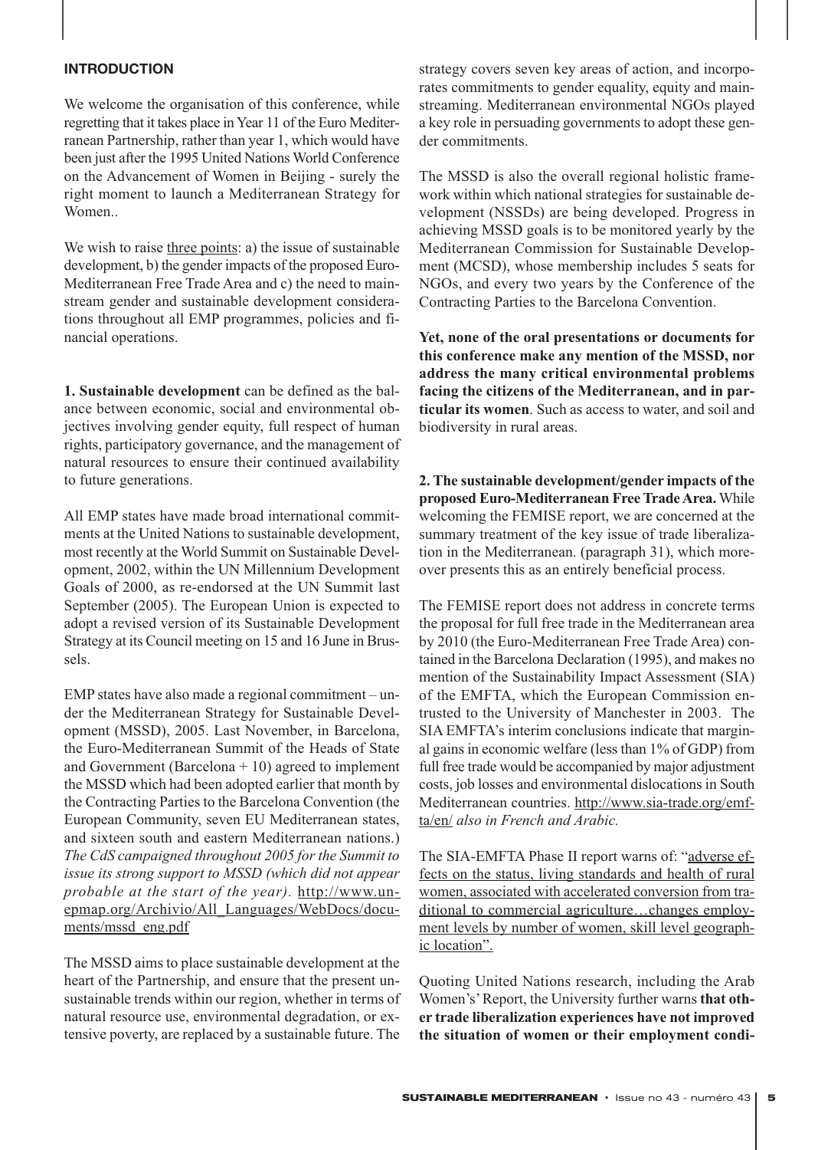# **INTRODUCTION**

We welcome the organisation of this conference, while regretting that it takes place in Year 11 of the Euro Mediterranean Partnership, rather than year 1, which would have been just after the 1995 United Nations World Conference on the Advancement of Women in Beijing - surely the right moment to launch a Mediterranean Strategy for Women

We wish to raise three points: a) the issue of sustainable development, b) the gender impacts of the proposed Euro-Mediterranean Free Trade Area and c) the need to mainstream gender and sustainable development considerations throughout all EMP programmes, policies and financial operations.

**1. Sustainable development** can be defined as the balance between economic, social and environmental objectives involving gender equity, full respect of human rights, participatory governance, and the management of natural resources to ensure their continued availability to future generations.

All EMP states have made broad international commitments at the United Nations to sustainable development, most recently at the World Summit on Sustainable Development, 2002, within the UN Millennium Development Goals of 2000, as re-endorsed at the UN Summit last September (2005). The European Union is expected to adopt a revised version of its Sustainable Development Strategy at its Council meeting on 15 and 16 June in Brussels.

EMP states have also made a regional commitment – under the Mediterranean Strategy for Sustainable Development (MSSD), 2005. Last November, in Barcelona, the Euro-Mediterranean Summit of the Heads of State and Government (Barcelona  $+10$ ) agreed to implement the MSSD which had been adopted earlier that month by the Contracting Parties to the Barcelona Convention (the European Community, seven EU Mediterranean states, and sixteen south and eastern Mediterranean nations.) *The CdS campaigned throughout 2005 for the Summit to issue its strong support to MSSD (which did not appear probable at the start of the year).* http://www.unepmap.org/Archivio/All\_Languages/WebDocs/documents/mssd\_eng.pdf

The MSSD aims to place sustainable development at the heart of the Partnership, and ensure that the present unsustainable trends within our region, whether in terms of natural resource use, environmental degradation, or extensive poverty, are replaced by a sustainable future. The

strategy covers seven key areas of action, and incorporates commitments to gender equality, equity and mainstreaming. Mediterranean environmental NGOs played a key role in persuading governments to adopt these gender commitments.

The MSSD is also the overall regional holistic framework within which national strategies for sustainable development (NSSDs) are being developed. Progress in achieving MSSD goals is to be monitored yearly by the Mediterranean Commission for Sustainable Development (MCSD), whose membership includes 5 seats for NGOs, and every two years by the Conference of the Contracting Parties to the Barcelona Convention.

**Yet, none of the oral presentations or documents for this conference make any mention of the MSSD, nor address the many critical environmental problems facing the citizens of the Mediterranean, and in particular its women**. Such as access to water, and soil and biodiversity in rural areas.

**2. The sustainable development/gender impacts of the proposed Euro-Mediterranean Free Trade Area.** While welcoming the FEMISE report, we are concerned at the summary treatment of the key issue of trade liberalization in the Mediterranean. (paragraph 31), which moreover presents this as an entirely beneficial process.

The FEMISE report does not address in concrete terms the proposal for full free trade in the Mediterranean area by 2010 (the Euro-Mediterranean Free Trade Area) contained in the Barcelona Declaration (1995), and makes no mention of the Sustainability Impact Assessment (SIA) of the EMFTA, which the European Commission entrusted to the University of Manchester in 2003. The SIA EMFTA's interim conclusions indicate that marginal gains in economic welfare (less than 1% of GDP) from full free trade would be accompanied by major adjustment costs, job losses and environmental dislocations in South Mediterranean countries. http://www.sia-trade.org/emfta/en/ *also in French and Arabic.*

The SIA-EMFTA Phase II report warns of: "adverse effects on the status, living standards and health of rural women, associated with accelerated conversion from traditional to commercial agriculture…changes employment levels by number of women, skill level geographic location".

Quoting United Nations research, including the Arab Women's'Report, the University further warns **that other trade liberalization experiences have not improved the situation of women or their employment condi-**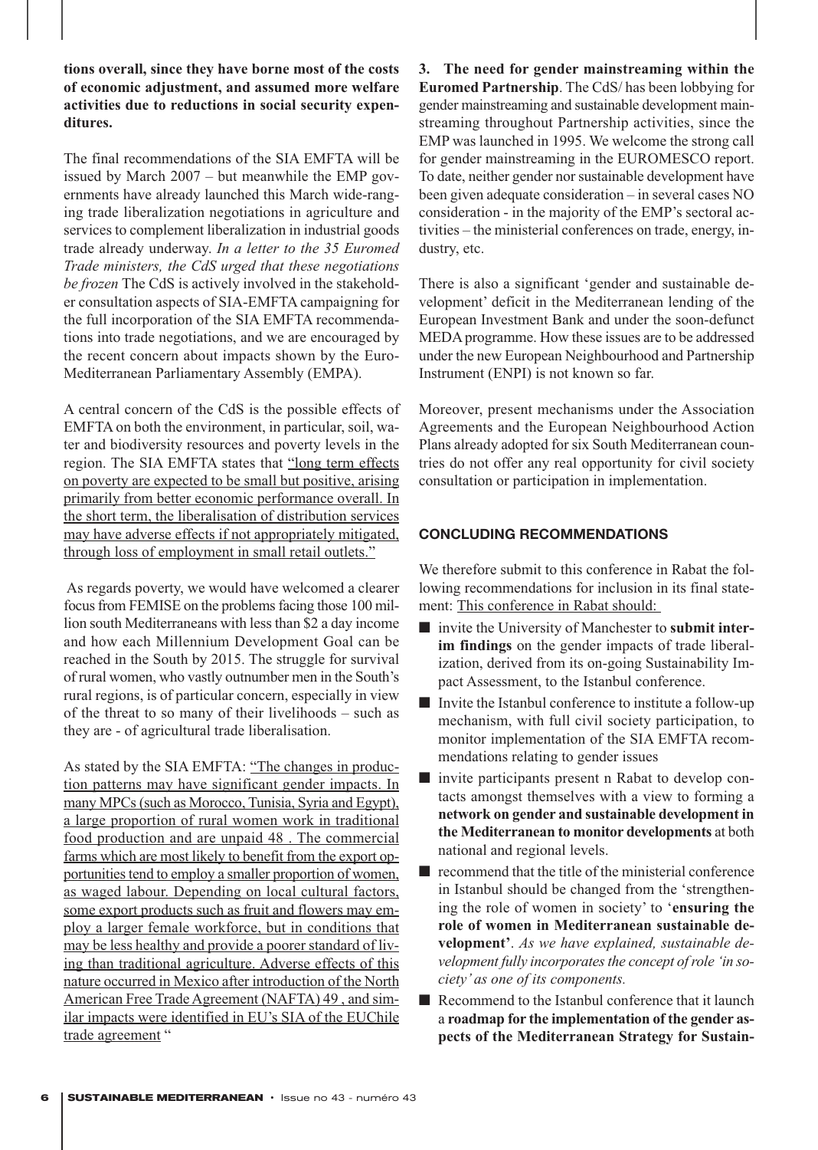**tions overall, since they have borne most of the costs of economic adjustment, and assumed more welfare activities due to reductions in social security expenditures.** 

The final recommendations of the SIA EMFTA will be issued by March 2007 – but meanwhile the EMP governments have already launched this March wide-ranging trade liberalization negotiations in agriculture and services to complement liberalization in industrial goods trade already underway. *In a letter to the 35 Euromed Trade ministers, the CdS urged that these negotiations be frozen* The CdS is actively involved in the stakeholder consultation aspects of SIA-EMFTA campaigning for the full incorporation of the SIA EMFTA recommendations into trade negotiations, and we are encouraged by the recent concern about impacts shown by the Euro-Mediterranean Parliamentary Assembly (EMPA).

A central concern of the CdS is the possible effects of EMFTA on both the environment, in particular, soil, water and biodiversity resources and poverty levels in the region. The SIA EMFTA states that "long term effects on poverty are expected to be small but positive, arising primarily from better economic performance overall. In the short term, the liberalisation of distribution services may have adverse effects if not appropriately mitigated, through loss of employment in small retail outlets."

As regards poverty, we would have welcomed a clearer focus from FEMISE on the problems facing those 100 million south Mediterraneans with less than \$2 a day income and how each Millennium Development Goal can be reached in the South by 2015. The struggle for survival of rural women, who vastly outnumber men in the South's rural regions, is of particular concern, especially in view of the threat to so many of their livelihoods – such as they are - of agricultural trade liberalisation.

As stated by the SIA EMFTA: "The changes in production patterns may have significant gender impacts. In many MPCs (such as Morocco, Tunisia, Syria and Egypt), a large proportion of rural women work in traditional food production and are unpaid 48 . The commercial farms which are most likely to benefit from the export opportunities tend to employ a smaller proportion of women, as waged labour. Depending on local cultural factors, some export products such as fruit and flowers may employ a larger female workforce, but in conditions that may be less healthy and provide a poorer standard of living than traditional agriculture. Adverse effects of this nature occurred in Mexico after introduction of the North American Free Trade Agreement (NAFTA) 49 , and similar impacts were identified in EU's SIA of the EUChile trade agreement "

**3. The need for gender mainstreaming within the Euromed Partnership**. The CdS/ has been lobbying for gender mainstreaming and sustainable development mainstreaming throughout Partnership activities, since the EMP was launched in 1995. We welcome the strong call for gender mainstreaming in the EUROMESCO report. To date, neither gender nor sustainable development have been given adequate consideration – in several cases NO consideration - in the majority of the EMP's sectoral activities – the ministerial conferences on trade, energy, industry, etc.

There is also a significant 'gender and sustainable development' deficit in the Mediterranean lending of the European Investment Bank and under the soon-defunct MEDA programme. How these issues are to be addressed under the new European Neighbourhood and Partnership Instrument (ENPI) is not known so far.

Moreover, present mechanisms under the Association Agreements and the European Neighbourhood Action Plans already adopted for six South Mediterranean countries do not offer any real opportunity for civil society consultation or participation in implementation.

# **CONCLUDING RECOMMENDATIONS**

We therefore submit to this conference in Rabat the following recommendations for inclusion in its final statement: This conference in Rabat should:

- invite the University of Manchester to **submit inter im findings** on the gender impacts of trade liberalization, derived from its on-going Sustainability Impact Assessment, to the Istanbul conference.
- Invite the Istanbul conference to institute a follow-up mechanism, with full civil society participation, to monitor implementation of the SIA EMFTA recommendations relating to gender issues
- invite participants present n Rabat to develop contacts amongst themselves with a view to forming a **network on gender and sustainable development in the Mediterranean to monitor developments** at both national and regional levels.
- recommend that the title of the ministerial conference in Istanbul should be changed from the 'strengthening the role of women in society' to '**ensuring the role of women in Mediterranean sustainable development'**. *As we have explained, sustainable development fully incorporates the concept of role 'in society' as one of its components.*
- Recommend to the Istanbul conference that it launch a **roadmap for the implementation of the gender aspects of the Mediterranean Strategy for Sustain-**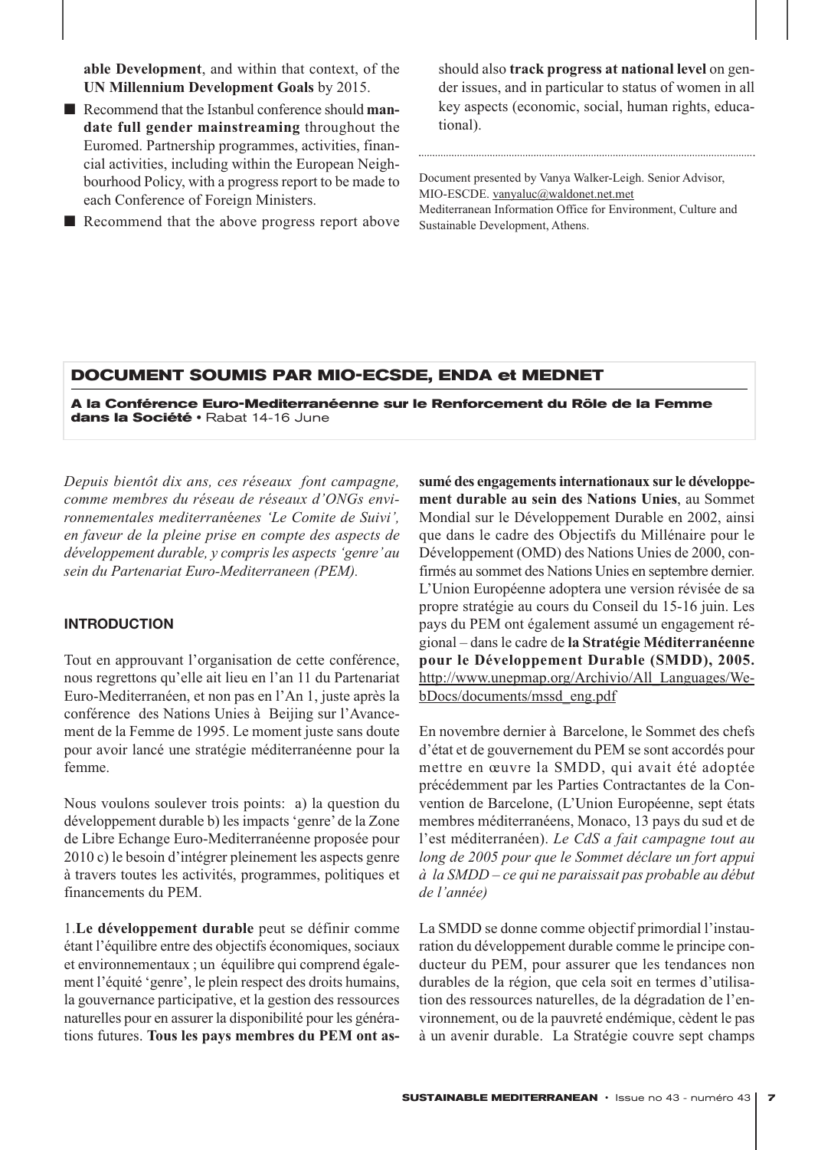**able Development**, and within that context, of the **UN Millennium Development Goals** by 2015.

- Recommend that the Istanbul conference should **mandate full gender mainstreaming** throughout the Euromed. Partnership programmes, activities, financial activities, including within the European Neighbourhood Policy, with a progress report to be made to each Conference of Foreign Ministers.
- Recommend that the above progress report above

should also **track progress at national level** on gender issues, and in particular to status of women in all key aspects (economic, social, human rights, educational).

Document presented by Vanya Walker-Leigh. Senior Advisor, MIO-ESCDE. vanyaluc@waldonet.net.met Mediterranean Information Office for Environment, Culture and Sustainable Development, Athens.

# **DOCUMENT SOUMIS PAR MIO-ECSDE, ENDA et MEDNET**

**A la Conférence Euro-Mediterranéenne sur le Renforcement du Rôle de la Femme**  dans la Société · Rabat 14-16 June

*Depuis bientôt dix ans, ces réseaux font campagne, comme membres du réseau de réseaux d'ONGs environnementales mediterran*é*enes 'Le Comite de Suivi', en faveur de la pleine prise en compte des aspects de développement durable, y compris les aspects 'genre'au sein du Partenariat Euro-Mediterraneen (PEM).* 

#### **INTRODUCTION**

Tout en approuvant l'organisation de cette conférence, nous regrettons qu'elle ait lieu en l'an 11 du Partenariat Euro-Mediterranéen, et non pas en l'An 1, juste après la conférence des Nations Unies à Beijing sur l'Avancement de la Femme de 1995. Le moment juste sans doute pour avoir lancé une stratégie méditerranéenne pour la femme.

Nous voulons soulever trois points: a) la question du développement durable b) les impacts 'genre'de la Zone de Libre Echange Euro-Mediterranéenne proposée pour 2010 c) le besoin d'intégrer pleinement les aspects genre à travers toutes les activités, programmes, politiques et financements du PEM.

1.**Le développement durable** peut se définir comme étant l'équilibre entre des objectifs économiques, sociaux et environnementaux ; un équilibre qui comprend également l'équité 'genre', le plein respect des droits humains, la gouvernance participative, et la gestion des ressources naturelles pour en assurer la disponibilité pour les générations futures. **Tous les pays membres du PEM ont as-** **sumé des engagements internationaux sur le développement durable au sein des Nations Unies**, au Sommet Mondial sur le Développement Durable en 2002, ainsi que dans le cadre des Objectifs du Millénaire pour le Développement (OMD) des Nations Unies de 2000, confirmés au sommet des Nations Unies en septembre dernier. L'Union Européenne adoptera une version révisée de sa propre stratégie au cours du Conseil du 15-16 juin. Les pays du PEM ont également assumé un engagement régional – dans le cadre de **la Stratégie Méditerranéenne pour le Développement Durable (SMDD), 2005.** http://www.unepmap.org/Archivio/All\_Languages/WebDocs/documents/mssd\_eng.pdf

En novembre dernier à Barcelone, le Sommet des chefs d'état et de gouvernement du PEM se sont accordés pour mettre en œuvre la SMDD, qui avait été adoptée précédemment par les Parties Contractantes de la Convention de Barcelone, (L'Union Européenne, sept états membres méditerranéens, Monaco, 13 pays du sud et de l'est méditerranéen). *Le CdS a fait campagne tout au long de 2005 pour que le Sommet déclare un fort appui à la SMDD – ce qui ne paraissait pas probable au début de l'année)*

La SMDD se donne comme objectif primordial l'instauration du développement durable comme le principe conducteur du PEM, pour assurer que les tendances non durables de la région, que cela soit en termes d'utilisation des ressources naturelles, de la dégradation de l'environnement, ou de la pauvreté endémique, cèdent le pas à un avenir durable. La Stratégie couvre sept champs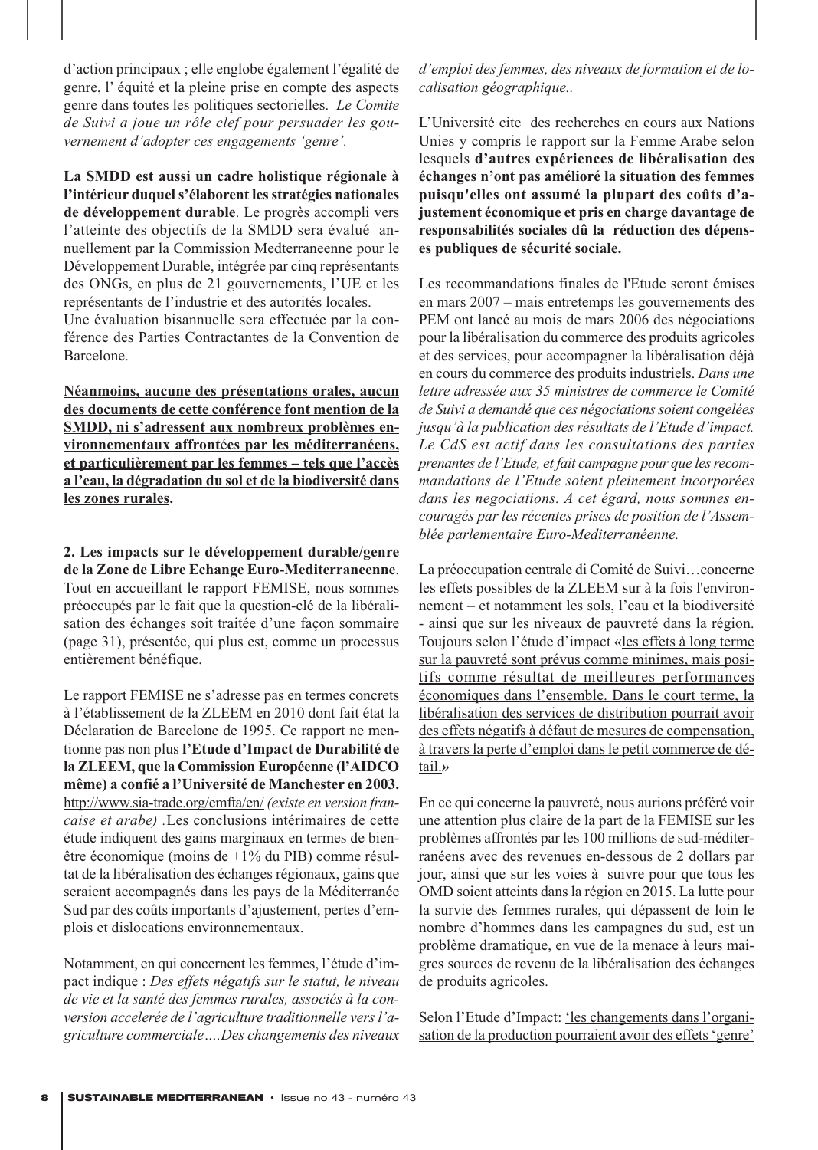d'action principaux ; elle englobe également l'égalité de genre, l' équité et la pleine prise en compte des aspects genre dans toutes les politiques sectorielles. *Le Comite de Suivi a joue un rôle clef pour persuader les gouvernement d'adopter ces engagements 'genre'.* 

**La SMDD est aussi un cadre holistique régionale à l'intérieur duquel s'élaborent les stratégies nationales de développement durable**. Le progrès accompli vers l'atteinte des objectifs de la SMDD sera évalué annuellement par la Commission Medterraneenne pour le Développement Durable, intégrée par cinq représentants des ONGs, en plus de 21 gouvernements, l'UE et les représentants de l'industrie et des autorités locales.

Une évaluation bisannuelle sera effectuée par la conférence des Parties Contractantes de la Convention de Barcelone.

**Néanmoins, aucune des présentations orales, aucun des documents de cette conférence font mention de la SMDD, ni s'adressent aux nombreux problèmes environnementaux affront**é**es par les méditerranéens, et particulièrement par les femmes – tels que l'accès a l'eau, la dégradation du sol et de la biodiversité dans les zones rurales.** 

**2. Les impacts sur le développement durable/genre de la Zone de Libre Echange Euro-Mediterraneenne**. Tout en accueillant le rapport FEMISE, nous sommes préoccupés par le fait que la question-clé de la libéralisation des échanges soit traitée d'une façon sommaire (page 31), présentée, qui plus est, comme un processus entièrement bénéfique.

Le rapport FEMISE ne s'adresse pas en termes concrets à l'établissement de la ZLEEM en 2010 dont fait état la Déclaration de Barcelone de 1995. Ce rapport ne mentionne pas non plus **l'Etude d'Impact de Durabilité de la ZLEEM, que la Commission Européenne (l'AIDCO même) a confié a l'Université de Manchester en 2003.** http://www.sia-trade.org/emfta/en/ *(existe en version francaise et arabe) .*Les conclusions intérimaires de cette étude indiquent des gains marginaux en termes de bienêtre économique (moins de +1% du PIB) comme résultat de la libéralisation des échanges régionaux, gains que seraient accompagnés dans les pays de la Méditerranée Sud par des coûts importants d'ajustement, pertes d'emplois et dislocations environnementaux.

Notamment, en qui concernent les femmes, l'étude d'impact indique : *Des effets négatifs sur le statut, le niveau de vie et la santé des femmes rurales, associés à la conversion accelerée de l'agriculture traditionnelle vers l'agriculture commerciale….Des changements des niveaux* *d'emploi des femmes, des niveaux de formation et de localisation géographique..*

L'Université cite des recherches en cours aux Nations Unies y compris le rapport sur la Femme Arabe selon lesquels **d'autres expériences de libéralisation des échanges n'ont pas amélioré la situation des femmes puisqu'elles ont assumé la plupart des coûts d'ajustement économique et pris en charge davantage de responsabilités sociales dû la réduction des dépenses publiques de sécurité sociale.**

Les recommandations finales de l'Etude seront émises en mars 2007 – mais entretemps les gouvernements des PEM ont lancé au mois de mars 2006 des négociations pour la libéralisation du commerce des produits agricoles et des services, pour accompagner la libéralisation déjà en cours du commerce des produits industriels. *Dans une lettre adressée aux 35 ministres de commerce le Comité de Suivi a demandé que ces négociations soient congelées jusqu'à la publication des résultats de l'Etude d'impact. Le CdS est actif dans les consultations des parties prenantes de l'Etude, et fait campagne pour que les recommandations de l'Etude soient pleinement incorporées dans les negociations. A cet égard, nous sommes encouragés par les récentes prises de position de l'Assemblée parlementaire Euro-Mediterranéenne.*

La préoccupation centrale di Comité de Suivi…concerne les effets possibles de la ZLEEM sur à la fois l'environnement – et notamment les sols, l'eau et la biodiversité - ainsi que sur les niveaux de pauvreté dans la région. Toujours selon l'étude d'impact «les effets à long terme sur la pauvreté sont prévus comme minimes, mais positifs comme résultat de meilleures performances économiques dans l'ensemble. Dans le court terme, la libéralisation des services de distribution pourrait avoir des effets négatifs à défaut de mesures de compensation, à travers la perte d'emploi dans le petit commerce de détail.*»*

En ce qui concerne la pauvreté, nous aurions préféré voir une attention plus claire de la part de la FEMISE sur les problèmes affrontés par les 100 millions de sud-méditerranéens avec des revenues en-dessous de 2 dollars par jour, ainsi que sur les voies à suivre pour que tous les OMD soient atteints dans la région en 2015. La lutte pour la survie des femmes rurales, qui dépassent de loin le nombre d'hommes dans les campagnes du sud, est un problème dramatique, en vue de la menace à leurs maigres sources de revenu de la libéralisation des échanges de produits agricoles.

Selon l'Etude d'Impact: les changements dans l'organisation de la production pourraient avoir des effets 'genre'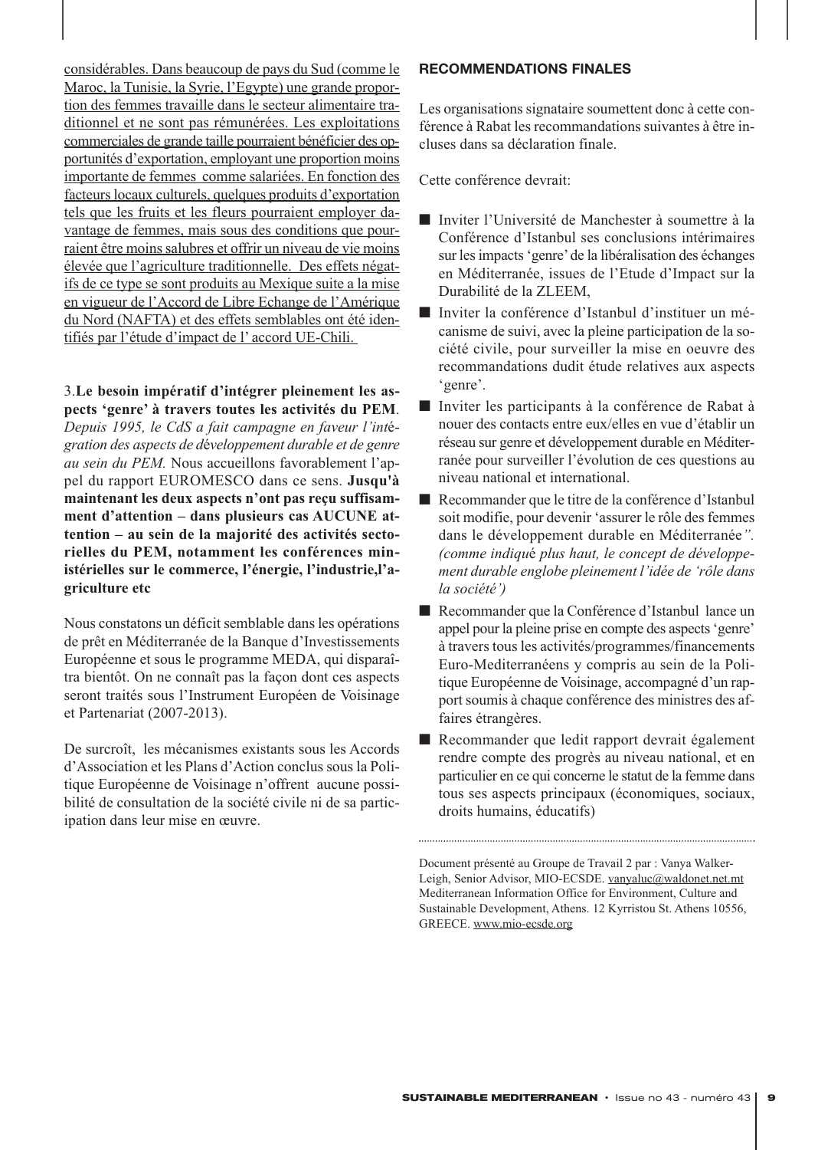considérables. Dans beaucoup de pays du Sud (comme le Maroc, la Tunisie, la Syrie, l'Egypte) une grande proportion des femmes travaille dans le secteur alimentaire traditionnel et ne sont pas rémunérées. Les exploitations commerciales de grande taille pourraient bénéficier des opportunités d'exportation, employant une proportion moins importante de femmes comme salariées. En fonction des facteurs locaux culturels, quelques produits d'exportation tels que les fruits et les fleurs pourraient employer davantage de femmes, mais sous des conditions que pourraient être moins salubres et offrir un niveau de vie moins élevée que l'agriculture traditionnelle. Des effets négatifs de ce type se sont produits au Mexique suite a la mise en vigueur de l'Accord de Libre Echange de l'Amérique du Nord (NAFTA) et des effets semblables ont été identifiés par l'étude d'impact de l' accord UE-Chili.

3.**Le besoin impératif d'intégrer pleinement les aspects 'genre' à travers toutes les activités du PEM**. *Depuis 1995, le CdS a fait campagne en faveur l'int*é*gration des aspects de d*é*veloppement durable et de genre au sein du PEM.* Nous accueillons favorablement l'appel du rapport EUROMESCO dans ce sens. **Jusqu'à maintenant les deux aspects n'ont pas reçu suffisamment d'attention – dans plusieurs cas AUCUNE attention – au sein de la majorité des activités sectorielles du PEM, notamment les conférences ministérielles sur le commerce, l'énergie, l'industrie,l'agriculture etc**

Nous constatons un déficit semblable dans les opérations de prêt en Méditerranée de la Banque d'Investissements Européenne et sous le programme MEDA, qui disparaîtra bientôt. On ne connaît pas la façon dont ces aspects seront traités sous l'Instrument Européen de Voisinage et Partenariat (2007-2013).

De surcroît, les mécanismes existants sous les Accords d'Association et les Plans d'Action conclus sous la Politique Européenne de Voisinage n'offrent aucune possibilité de consultation de la société civile ni de sa participation dans leur mise en œuvre.

# **RECOMMENDATIONS FINALES**

Les organisations signataire soumettent donc à cette conférence à Rabat les recommandations suivantes à être incluses dans sa déclaration finale.

Cette conférence devrait:

- Inviter l'Université de Manchester à soumettre à la Conférence d'Istanbul ses conclusions intérimaires sur les impacts 'genre'de la libéralisation des échanges en Méditerranée, issues de l'Etude d'Impact sur la Durabilité de la ZLEEM,
- Inviter la conférence d'Istanbul d'instituer un mécanisme de suivi, avec la pleine participation de la société civile, pour surveiller la mise en oeuvre des recommandations dudit étude relatives aux aspects 'genre'.
- Inviter les participants à la conférence de Rabat à nouer des contacts entre eux/elles en vue d'établir un réseau sur genre et développement durable en Méditerranée pour surveiller l'évolution de ces questions au niveau national et international.
- Recommander que le titre de la conférence d'Istanbul soit modifie, pour devenir 'assurer le rôle des femmes dans le développement durable en Méditerranée*". (comme indiqu*é *plus haut, le concept de développement durable englobe pleinement l'idée de 'rôle dans la société')*
- Recommander que la Conférence d'Istanbul lance un appel pour la pleine prise en compte des aspects 'genre' à travers tous les activités/programmes/financements Euro-Mediterranéens y compris au sein de la Politique Européenne de Voisinage, accompagné d'un rapport soumis à chaque conférence des ministres des affaires étrangères.
- Recommander que ledit rapport devrait également rendre compte des progrès au niveau national, et en particulier en ce qui concerne le statut de la femme dans tous ses aspects principaux (économiques, sociaux, droits humains, éducatifs)

Document présenté au Groupe de Travail 2 par : Vanya Walker-Leigh, Senior Advisor, MIO-ECSDE. vanyaluc@waldonet.net.mt Mediterranean Information Office for Environment, Culture and Sustainable Development, Athens. 12 Kyrristou St. Athens 10556, GREECE. www.mio-ecsde.org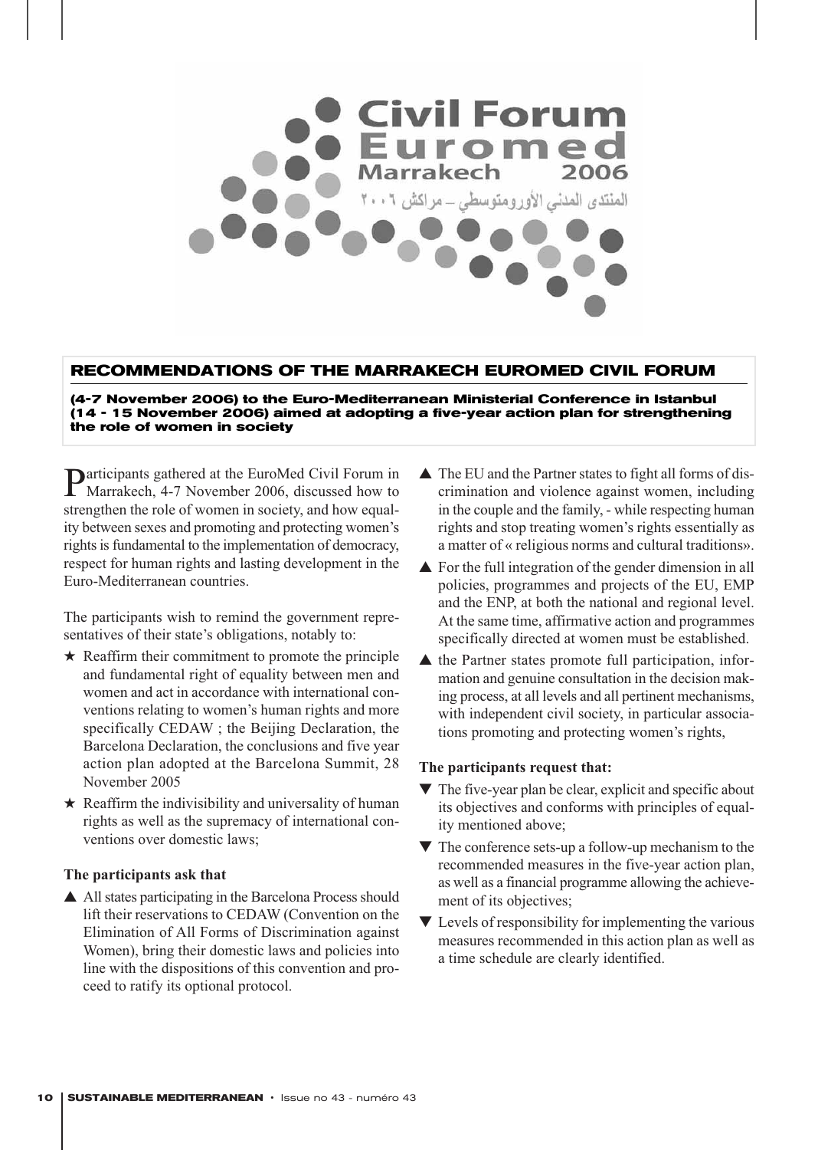

# **RECOMMENDATIONS OF THE MARRAKECH EUROMED CIVIL FORUM**

**(4-7 November 2006) to the Euro-Mediterranean Ministerial Conference in Istanbul (14 - 15 November 2006) aimed at adopting a five-year action plan for strengthening the role of women in society**

**Participants gathered at the EuroMed Civil Forum in** Marrakech, 4-7 November 2006, discussed how to strengthen the role of women in society, and how equality between sexes and promoting and protecting women's rights is fundamental to the implementation of democracy, respect for human rights and lasting development in the Euro-Mediterranean countries.

The participants wish to remind the government representatives of their state's obligations, notably to:

- $\star$  Reaffirm their commitment to promote the principle and fundamental right of equality between men and women and act in accordance with international conventions relating to women's human rights and more specifically CEDAW ; the Beijing Declaration, the Barcelona Declaration, the conclusions and five year action plan adopted at the Barcelona Summit, 28 November 2005
- $\star$  Reaffirm the indivisibility and universality of human rights as well as the supremacy of international conventions over domestic laws;

# **The participants ask that**

▲ All states participating in the Barcelona Process should lift their reservations to CEDAW (Convention on the Elimination of All Forms of Discrimination against Women), bring their domestic laws and policies into line with the dispositions of this convention and proceed to ratify its optional protocol.

- ▲ The EU and the Partner states to fight all forms of discrimination and violence against women, including in the couple and the family, - while respecting human rights and stop treating women's rights essentially as a matter of « religious norms and cultural traditions».
- **▲** For the full integration of the gender dimension in all policies, programmes and projects of the EU, EMP and the ENP, at both the national and regional level. At the same time, affirmative action and programmes specifically directed at women must be established.
- ▲ the Partner states promote full participation, information and genuine consultation in the decision making process, at all levels and all pertinent mechanisms, with independent civil society, in particular associations promoting and protecting women's rights,

#### **The participants request that:**

- $\blacktriangledown$  The five-year plan be clear, explicit and specific about its objectives and conforms with principles of equality mentioned above;
- $\nabla$  The conference sets-up a follow-up mechanism to the recommended measures in the five-year action plan, as well as a financial programme allowing the achievement of its objectives;
- $\blacktriangledown$  Levels of responsibility for implementing the various measures recommended in this action plan as well as a time schedule are clearly identified.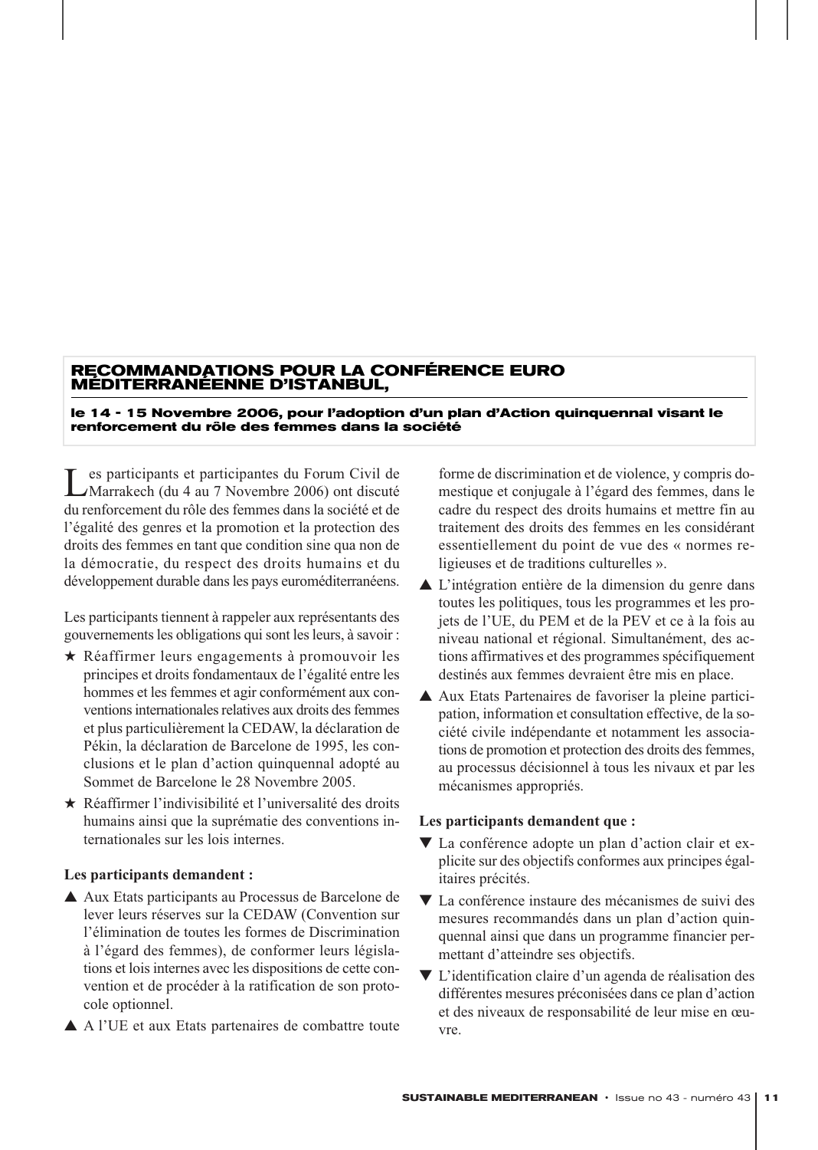# **RECOMMANDATIONS POUR LA CONFÉRENCE EURO MÉDITERRANÉENNE D'ISTANBUL,**

#### **le 14 - 15 Novembre 2006, pour l'adoption d'un plan d'Action quinquennal visant le renforcement du rôle des femmes dans la société**

Les participants et participantes du Forum Civil de<br>Marrakech (du 4 au 7 Novembre 2006) ont discuté du renforcement du rôle des femmes dans la société et de l'égalité des genres et la promotion et la protection des droits des femmes en tant que condition sine qua non de la démocratie, du respect des droits humains et du développement durable dans les pays euroméditerranéens.

Les participants tiennent à rappeler aux représentants des gouvernements les obligations qui sont les leurs, à savoir :

- ★ Réaffirmer leurs engagements à promouvoir les principes et droits fondamentaux de l'égalité entre les hommes et les femmes et agir conformément aux conventions internationales relatives aux droits des femmes et plus particulièrement la CEDAW, la déclaration de Pékin, la déclaration de Barcelone de 1995, les conclusions et le plan d'action quinquennal adopté au Sommet de Barcelone le 28 Novembre 2005.
- ★ Réaffirmer l'indivisibilité et l'universalité des droits humains ainsi que la suprématie des conventions internationales sur les lois internes.

# **Les participants demandent :**

- ▲ Aux Etats participants au Processus de Barcelone de lever leurs réserves sur la CEDAW (Convention sur l'élimination de toutes les formes de Discrimination à l'égard des femmes), de conformer leurs législations et lois internes avec les dispositions de cette convention et de procéder à la ratification de son protocole optionnel.
- ▲ A l'UE et aux Etats partenaires de combattre toute

forme de discrimination et de violence, y compris domestique et conjugale à l'égard des femmes, dans le cadre du respect des droits humains et mettre fin au traitement des droits des femmes en les considérant essentiellement du point de vue des « normes religieuses et de traditions culturelles ».

- ▲ L'intégration entière de la dimension du genre dans toutes les politiques, tous les programmes et les projets de l'UE, du PEM et de la PEV et ce à la fois au niveau national et régional. Simultanément, des actions affirmatives et des programmes spécifiquement destinés aux femmes devraient être mis en place.
- ▲ Aux Etats Partenaires de favoriser la pleine participation, information et consultation effective, de la société civile indépendante et notamment les associations de promotion et protection des droits des femmes, au processus décisionnel à tous les nivaux et par les mécanismes appropriés.

# **Les participants demandent que :**

- ▼ La conférence adopte un plan d'action clair et explicite sur des objectifs conformes aux principes égalitaires précités.
- ▼ La conférence instaure des mécanismes de suivi des mesures recommandés dans un plan d'action quinquennal ainsi que dans un programme financier permettant d'atteindre ses objectifs.
- ▼ L'identification claire d'un agenda de réalisation des différentes mesures préconisées dans ce plan d'action et des niveaux de responsabilité de leur mise en œuvre.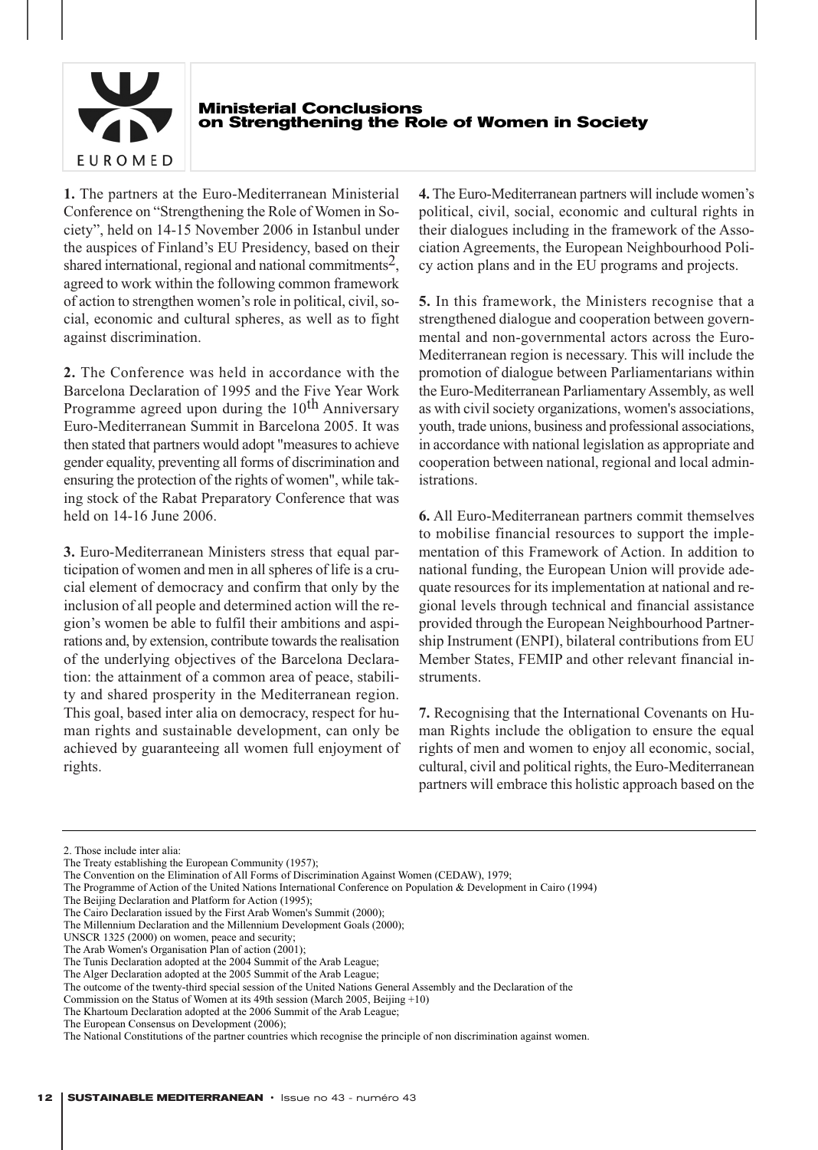

#### **Ministerial Conclusions on Strengthening the Role of Women in Society**

**1.** The partners at the Euro-Mediterranean Ministerial Conference on "Strengthening the Role of Women in Society", held on 14-15 November 2006 in Istanbul under the auspices of Finland's EU Presidency, based on their shared international, regional and national commitments<sup>2</sup>, agreed to work within the following common framework of action to strengthen women's role in political, civil, social, economic and cultural spheres, as well as to fight against discrimination.

**2.** The Conference was held in accordance with the Barcelona Declaration of 1995 and the Five Year Work Programme agreed upon during the  $10<sup>th</sup>$  Anniversary Euro-Mediterranean Summit in Barcelona 2005. It was then stated that partners would adopt "measures to achieve gender equality, preventing all forms of discrimination and ensuring the protection of the rights of women", while taking stock of the Rabat Preparatory Conference that was held on 14-16 June 2006.

**3.** Euro-Mediterranean Ministers stress that equal participation of women and men in all spheres of life is a crucial element of democracy and confirm that only by the inclusion of all people and determined action will the region's women be able to fulfil their ambitions and aspirations and, by extension, contribute towards the realisation of the underlying objectives of the Barcelona Declaration: the attainment of a common area of peace, stability and shared prosperity in the Mediterranean region. This goal, based inter alia on democracy, respect for human rights and sustainable development, can only be achieved by guaranteeing all women full enjoyment of rights.

**4.** The Euro-Mediterranean partners will include women's political, civil, social, economic and cultural rights in their dialogues including in the framework of the Association Agreements, the European Neighbourhood Policy action plans and in the EU programs and projects.

**5.** In this framework, the Ministers recognise that a strengthened dialogue and cooperation between governmental and non-governmental actors across the Euro-Mediterranean region is necessary. This will include the promotion of dialogue between Parliamentarians within the Euro-Mediterranean Parliamentary Assembly, as well as with civil society organizations, women's associations, youth, trade unions, business and professional associations, in accordance with national legislation as appropriate and cooperation between national, regional and local administrations.

**6.** All Euro-Mediterranean partners commit themselves to mobilise financial resources to support the implementation of this Framework of Action. In addition to national funding, the European Union will provide adequate resources for its implementation at national and regional levels through technical and financial assistance provided through the European Neighbourhood Partnership Instrument (ENPI), bilateral contributions from EU Member States, FEMIP and other relevant financial instruments.

**7.** Recognising that the International Covenants on Human Rights include the obligation to ensure the equal rights of men and women to enjoy all economic, social, cultural, civil and political rights, the Euro-Mediterranean partners will embrace this holistic approach based on the

The Beijing Declaration and Platform for Action (1995);

- The Cairo Declaration issued by the First Arab Women's Summit (2000);
- The Millennium Declaration and the Millennium Development Goals (2000);

UNSCR 1325 (2000) on women, peace and security;

The Arab Women's Organisation Plan of action (2001);

<sup>2.</sup> Those include inter alia:

The Treaty establishing the European Community (1957);

The Convention on the Elimination of All Forms of Discrimination Against Women (CEDAW), 1979;

The Programme of Action of the United Nations International Conference on Population & Development in Cairo (1994)

The Tunis Declaration adopted at the 2004 Summit of the Arab League;

The Alger Declaration adopted at the 2005 Summit of the Arab League;

The outcome of the twenty-third special session of the United Nations General Assembly and the Declaration of the

Commission on the Status of Women at its 49th session (March 2005, Beijing +10)

The Khartoum Declaration adopted at the 2006 Summit of the Arab League;

The European Consensus on Development (2006);

The National Constitutions of the partner countries which recognise the principle of non discrimination against women.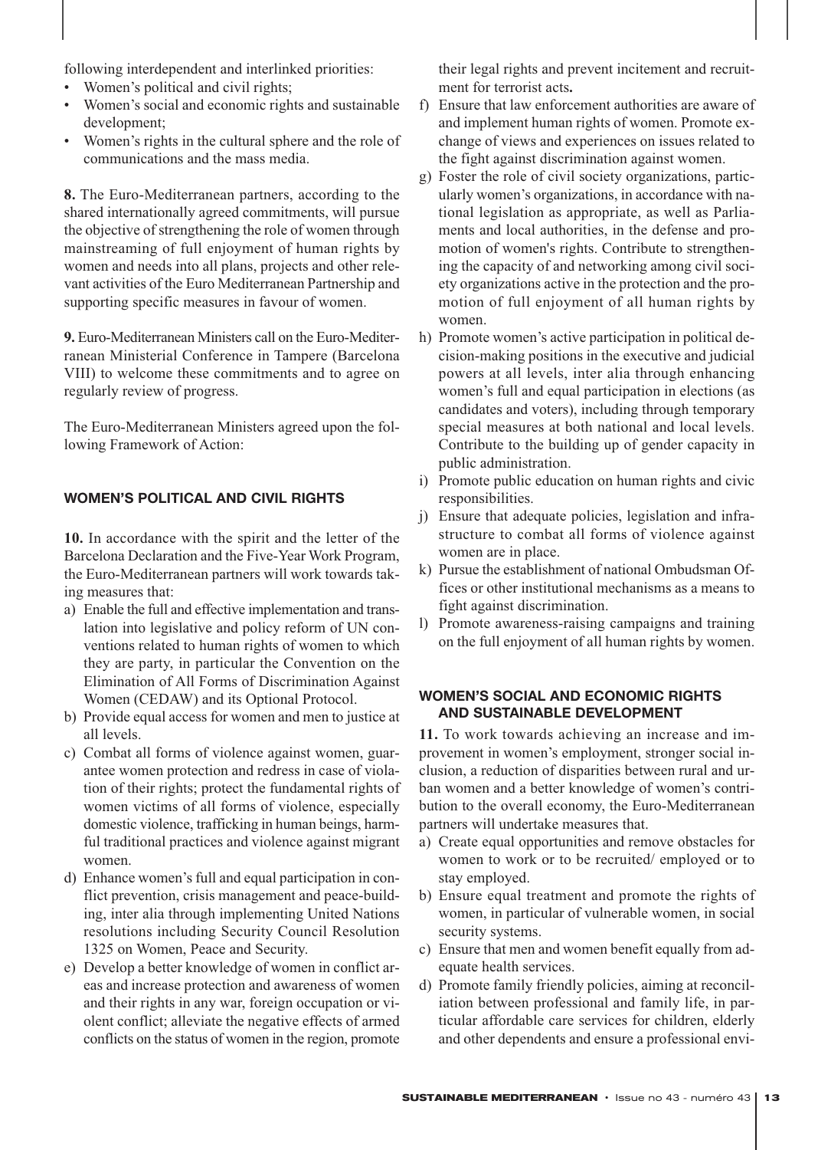following interdependent and interlinked priorities:

- Women's political and civil rights;
- Women's social and economic rights and sustainable development;
- Women's rights in the cultural sphere and the role of communications and the mass media.

**8.** The Euro-Mediterranean partners, according to the shared internationally agreed commitments, will pursue the objective of strengthening the role of women through mainstreaming of full enjoyment of human rights by women and needs into all plans, projects and other relevant activities of the Euro Mediterranean Partnership and supporting specific measures in favour of women.

**9.** Euro-Mediterranean Ministers call on the Euro-Mediterranean Ministerial Conference in Tampere (Barcelona VIII) to welcome these commitments and to agree on regularly review of progress.

The Euro-Mediterranean Ministers agreed upon the following Framework of Action:

# **WOMEN'S POLITICAL AND CIVIL RIGHTS**

**10.** In accordance with the spirit and the letter of the Barcelona Declaration and the Five-Year Work Program, the Euro-Mediterranean partners will work towards taking measures that:

- a) Enable the full and effective implementation and translation into legislative and policy reform of UN conventions related to human rights of women to which they are party, in particular the Convention on the Elimination of All Forms of Discrimination Against Women (CEDAW) and its Optional Protocol.
- b) Provide equal access for women and men to justice at all levels.
- c) Combat all forms of violence against women, guarantee women protection and redress in case of violation of their rights; protect the fundamental rights of women victims of all forms of violence, especially domestic violence, trafficking in human beings, harmful traditional practices and violence against migrant women.
- d) Enhance women's full and equal participation in conflict prevention, crisis management and peace-building, inter alia through implementing United Nations resolutions including Security Council Resolution 1325 on Women, Peace and Security.
- e) Develop a better knowledge of women in conflict areas and increase protection and awareness of women and their rights in any war, foreign occupation or violent conflict; alleviate the negative effects of armed conflicts on the status of women in the region, promote

their legal rights and prevent incitement and recruitment for terrorist acts**.**

- f) Ensure that law enforcement authorities are aware of and implement human rights of women. Promote exchange of views and experiences on issues related to the fight against discrimination against women.
- g) Foster the role of civil society organizations, particularly women's organizations, in accordance with national legislation as appropriate, as well as Parliaments and local authorities, in the defense and promotion of women's rights. Contribute to strengthening the capacity of and networking among civil society organizations active in the protection and the promotion of full enjoyment of all human rights by women.
- h) Promote women's active participation in political decision-making positions in the executive and judicial powers at all levels, inter alia through enhancing women's full and equal participation in elections (as candidates and voters), including through temporary special measures at both national and local levels. Contribute to the building up of gender capacity in public administration.
- i) Promote public education on human rights and civic responsibilities.
- j) Ensure that adequate policies, legislation and infrastructure to combat all forms of violence against women are in place.
- k) Pursue the establishment of national Ombudsman Offices or other institutional mechanisms as a means to fight against discrimination.
- l) Promote awareness-raising campaigns and training on the full enjoyment of all human rights by women.

# **WOMEN'S SOCIAL AND ECONOMIC RIGHTS AND SUSTAINABLE DEVELOPMENT**

**11.** To work towards achieving an increase and improvement in women's employment, stronger social inclusion, a reduction of disparities between rural and urban women and a better knowledge of women's contribution to the overall economy, the Euro-Mediterranean partners will undertake measures that.

- a) Create equal opportunities and remove obstacles for women to work or to be recruited/ employed or to stay employed.
- b) Ensure equal treatment and promote the rights of women, in particular of vulnerable women, in social security systems.
- c) Ensure that men and women benefit equally from adequate health services.
- d) Promote family friendly policies, aiming at reconciliation between professional and family life, in particular affordable care services for children, elderly and other dependents and ensure a professional envi-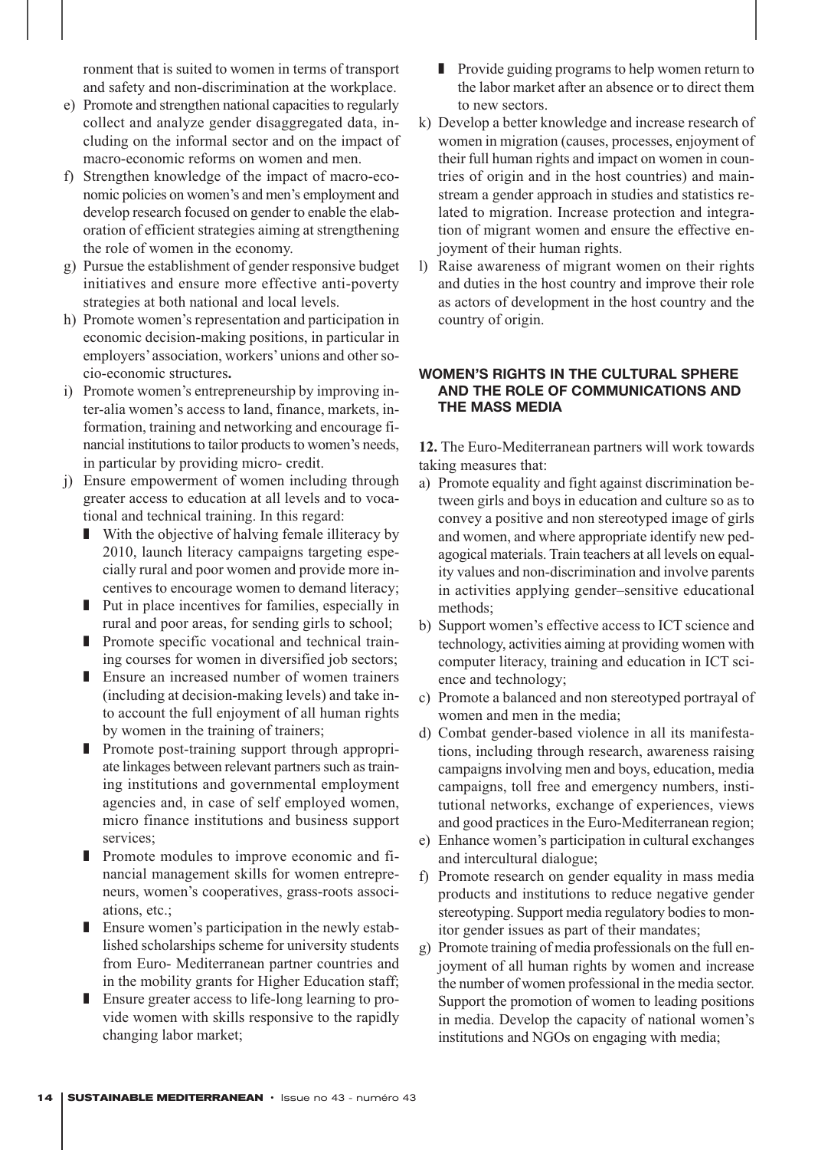ronment that is suited to women in terms of transport and safety and non-discrimination at the workplace.

- e) Promote and strengthen national capacities to regularly collect and analyze gender disaggregated data, including on the informal sector and on the impact of macro-economic reforms on women and men.
- f) Strengthen knowledge of the impact of macro-economic policies on women's and men's employment and develop research focused on gender to enable the elaboration of efficient strategies aiming at strengthening the role of women in the economy.
- g) Pursue the establishment of gender responsive budget initiatives and ensure more effective anti-poverty strategies at both national and local levels.
- h) Promote women's representation and participation in economic decision-making positions, in particular in employers'association, workers'unions and other socio-economic structures**.**
- i) Promote women's entrepreneurship by improving inter-alia women's access to land, finance, markets, information, training and networking and encourage financial institutions to tailor products to women's needs, in particular by providing micro- credit.
- j) Ensure empowerment of women including through greater access to education at all levels and to vocational and technical training. In this regard:
	- With the objective of halving female illiteracy by 2010, launch literacy campaigns targeting especially rural and poor women and provide more incentives to encourage women to demand literacy;
	- Put in place incentives for families, especially in rural and poor areas, for sending girls to school;
	- Promote specific vocational and technical training courses for women in diversified job sectors;
	- Ensure an increased number of women trainers (including at decision-making levels) and take into account the full enjoyment of all human rights by women in the training of trainers;
	- Promote post-training support through appropriate linkages between relevant partners such as training institutions and governmental employment agencies and, in case of self employed women, micro finance institutions and business support services;
	- Promote modules to improve economic and financial management skills for women entrepreneurs, women's cooperatives, grass-roots associations, etc.;
	- Ensure women's participation in the newly established scholarships scheme for university students from Euro- Mediterranean partner countries and in the mobility grants for Higher Education staff;
	- Ensure greater access to life-long learning to provide women with skills responsive to the rapidly changing labor market;
- Provide guiding programs to help women return to the labor market after an absence or to direct them to new sectors.
- k) Develop a better knowledge and increase research of women in migration (causes, processes, enjoyment of their full human rights and impact on women in countries of origin and in the host countries) and mainstream a gender approach in studies and statistics related to migration. Increase protection and integration of migrant women and ensure the effective enjoyment of their human rights.
- l) Raise awareness of migrant women on their rights and duties in the host country and improve their role as actors of development in the host country and the country of origin.

# **WOMEN'S RIGHTS IN THE CULTURAL SPHERE AND THE ROLE OF COMMUNICATIONS AND THE MASS MEDIA**

**12.** The Euro-Mediterranean partners will work towards taking measures that:

- a) Promote equality and fight against discrimination between girls and boys in education and culture so as to convey a positive and non stereotyped image of girls and women, and where appropriate identify new pedagogical materials. Train teachers at all levels on equality values and non-discrimination and involve parents in activities applying gender–sensitive educational methods;
- b) Support women's effective access to ICT science and technology, activities aiming at providing women with computer literacy, training and education in ICT science and technology;
- c) Promote a balanced and non stereotyped portrayal of women and men in the media;
- d) Combat gender-based violence in all its manifestations, including through research, awareness raising campaigns involving men and boys, education, media campaigns, toll free and emergency numbers, institutional networks, exchange of experiences, views and good practices in the Euro-Mediterranean region;
- e) Enhance women's participation in cultural exchanges and intercultural dialogue;
- f) Promote research on gender equality in mass media products and institutions to reduce negative gender stereotyping. Support media regulatory bodies to monitor gender issues as part of their mandates;
- g) Promote training of media professionals on the full enjoyment of all human rights by women and increase the number of women professional in the media sector. Support the promotion of women to leading positions in media. Develop the capacity of national women's institutions and NGOs on engaging with media;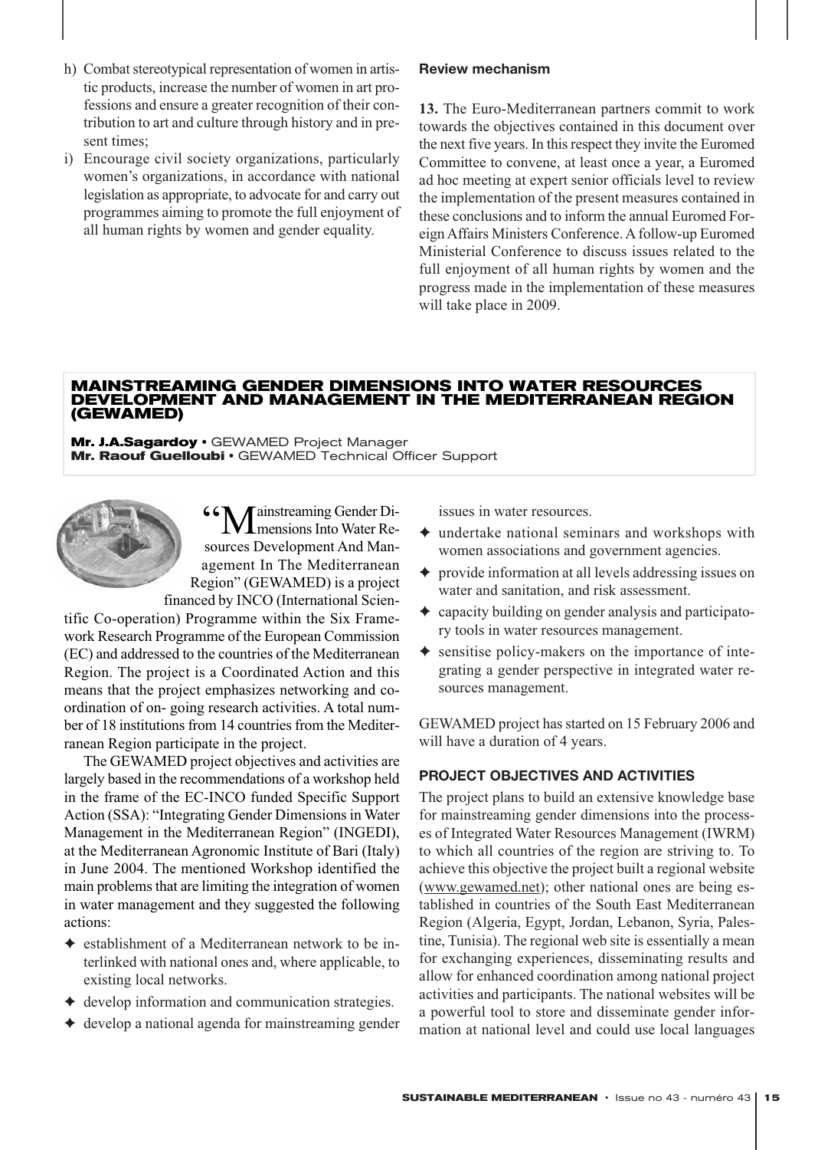- h) Combat stereotypical representation of women in artistic products, increase the number of women in art professions and ensure a greater recognition of their contribution to art and culture through history and in present times;
- i) Encourage civil society organizations, particularly women's organizations, in accordance with national legislation as appropriate, to advocate for and carry out programmes aiming to promote the full enjoyment of all human rights by women and gender equality.

# **Review mechanism**

**13.** The Euro-Mediterranean partners commit to work towards the objectives contained in this document over the next five years. In this respect they invite the Euromed Committee to convene, at least once a year, a Euromed ad hoc meeting at expert senior officials level to review the implementation of the present measures contained in these conclusions and to inform the annual Euromed Foreign Affairs Ministers Conference. A follow-up Euromed Ministerial Conference to discuss issues related to the full enjoyment of all human rights by women and the progress made in the implementation of these measures will take place in 2009.

#### **MAINSTREAMING GENDER DIMENSIONS INTO WATER RESOURCES DEVELOPMENT AND MANAGEMENT IN THE MEDITERRANEAN REGION (GEWAMED)**

Mr. J.A.Sagardoy · GEWAMED Project Manager Mr. Raouf **Guelloubi • GEWAMED** Technical Officer Support

> **66 M** ainstreaming Gender Di-**L** mensions Into Water Resources Development And Management In The Mediterranean Region" (GEWAMED) is a project financed by INCO (International Scien-

tific Co-operation) Programme within the Six Framework Research Programme of the European Commission (EC) and addressed to the countries of the Mediterranean Region. The project is a Coordinated Action and this means that the project emphasizes networking and coordination of on- going research activities. A total number of 18 institutions from 14 countries from the Mediterranean Region participate in the project.

The GEWAMED project objectives and activities are largely based in the recommendations of a workshop held in the frame of the EC-INCO funded Specific Support Action (SSA): "Integrating Gender Dimensions in Water Management in the Mediterranean Region" (INGEDI), at the Mediterranean Agronomic Institute of Bari (Italy) in June 2004. The mentioned Workshop identified the main problems that are limiting the integration of women in water management and they suggested the following actions:

- ✦ establishment of a Mediterranean network to be interlinked with national ones and, where applicable, to existing local networks.
- ✦ develop information and communication strategies.
- ✦ develop a national agenda for mainstreaming gender

issues in water resources.

- $\triangle$  undertake national seminars and workshops with women associations and government agencies.
- ✦ provide information at all levels addressing issues on water and sanitation, and risk assessment.
- $\triangle$  capacity building on gender analysis and participatory tools in water resources management.
- ✦ sensitise policy-makers on the importance of integrating a gender perspective in integrated water resources management.

GEWAMED project has started on 15 February 2006 and will have a duration of 4 years.

# **PROJECT OBJECTIVES AND ACTIVITIES**

The project plans to build an extensive knowledge base for mainstreaming gender dimensions into the processes of Integrated Water Resources Management (IWRM) to which all countries of the region are striving to. To achieve this objective the project built a regional website (www.gewamed.net); other national ones are being established in countries of the South East Mediterranean Region (Algeria, Egypt, Jordan, Lebanon, Syria, Palestine, Tunisia). The regional web site is essentially a mean for exchanging experiences, disseminating results and allow for enhanced coordination among national project activities and participants. The national websites will be a powerful tool to store and disseminate gender information at national level and could use local languages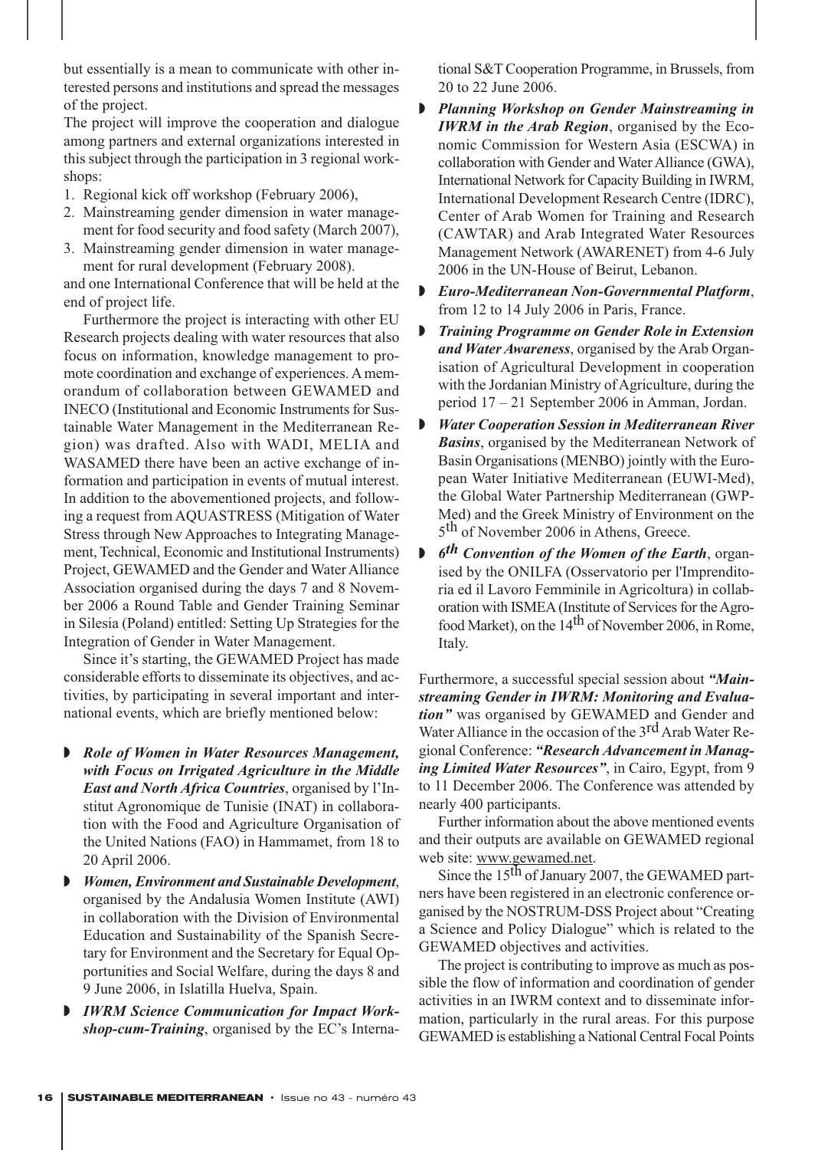but essentially is a mean to communicate with other interested persons and institutions and spread the messages of the project.

The project will improve the cooperation and dialogue among partners and external organizations interested in this subject through the participation in 3 regional workshops:

- 1. Regional kick off workshop (February 2006),
- 2. Mainstreaming gender dimension in water management for food security and food safety (March 2007),
- 3. Mainstreaming gender dimension in water management for rural development (February 2008).

and one International Conference that will be held at the end of project life.

Furthermore the project is interacting with other EU Research projects dealing with water resources that also focus on information, knowledge management to promote coordination and exchange of experiences. A memorandum of collaboration between GEWAMED and INECO (Institutional and Economic Instruments for Sustainable Water Management in the Mediterranean Region) was drafted. Also with WADI, MELIA and WASAMED there have been an active exchange of information and participation in events of mutual interest. In addition to the abovementioned projects, and following a request from AQUASTRESS (Mitigation of Water Stress through New Approaches to Integrating Management, Technical, Economic and Institutional Instruments) Project, GEWAMED and the Gender and Water Alliance Association organised during the days 7 and 8 November 2006 a Round Table and Gender Training Seminar in Silesia (Poland) entitled: Setting Up Strategies for the Integration of Gender in Water Management.

Since it's starting, the GEWAMED Project has made considerable efforts to disseminate its objectives, and activities, by participating in several important and international events, which are briefly mentioned below:

- ◗ *Role of Women in Water Resources Management, with Focus on Irrigated Agriculture in the Middle East and North Africa Countries*, organised by l'Institut Agronomique de Tunisie (INAT) in collaboration with the Food and Agriculture Organisation of the United Nations (FAO) in Hammamet, from 18 to 20 April 2006.
- ◗ *Women, Environment and Sustainable Development*, organised by the Andalusia Women Institute (AWI) in collaboration with the Division of Environmental Education and Sustainability of the Spanish Secretary for Environment and the Secretary for Equal Opportunities and Social Welfare, during the days 8 and 9 June 2006, in Islatilla Huelva, Spain.
- ◗ *IWRM Science Communication for Impact Workshop-cum-Training*, organised by the EC's Interna-

tional S&T Cooperation Programme, in Brussels, from 20 to 22 June 2006.

- ◗ *Planning Workshop on Gender Mainstreaming in IWRM in the Arab Region*, organised by the Economic Commission for Western Asia (ESCWA) in collaboration with Gender and Water Alliance (GWA), International Network for Capacity Building in IWRM, International Development Research Centre (IDRC), Center of Arab Women for Training and Research (CAWTAR) and Arab Integrated Water Resources Management Network (AWARENET) from 4-6 July 2006 in the UN-House of Beirut, Lebanon.
- ◗ *Euro-Mediterranean Non-Governmental Platform*, from 12 to 14 July 2006 in Paris, France.
- ◗ *Training Programme on Gender Role in Extension and Water Awareness*, organised by the Arab Organisation of Agricultural Development in cooperation with the Jordanian Ministry of Agriculture, during the period 17 – 21 September 2006 in Amman, Jordan.
- ◗ *Water Cooperation Session in Mediterranean River Basins*, organised by the Mediterranean Network of Basin Organisations (MENBO) jointly with the European Water Initiative Mediterranean (EUWI-Med), the Global Water Partnership Mediterranean (GWP-Med) and the Greek Ministry of Environment on the 5<sup>th</sup> of November 2006 in Athens, Greece.
- ◗ *6th Convention of the Women of the Earth*, organised by the ONILFA (Osservatorio per l'Imprenditoria ed il Lavoro Femminile in Agricoltura) in collaboration with ISMEA (Institute of Services for the Agrofood Market), on the 14<sup>th</sup> of November 2006, in Rome, Italy.

Furthermore, a successful special session about *"Mainstreaming Gender in IWRM: Monitoring and Evaluation"* was organised by GEWAMED and Gender and Water Alliance in the occasion of the  $3<sup>rd</sup>$  Arab Water Regional Conference: *"Research Advancement in Managing Limited Water Resources"*, in Cairo, Egypt, from 9 to 11 December 2006. The Conference was attended by nearly 400 participants.

Further information about the above mentioned events and their outputs are available on GEWAMED regional web site: www.gewamed.net.

Since the 15<sup>th</sup> of January 2007, the GEWAMED partners have been registered in an electronic conference organised by the NOSTRUM-DSS Project about "Creating a Science and Policy Dialogue" which is related to the GEWAMED objectives and activities.

The project is contributing to improve as much as possible the flow of information and coordination of gender activities in an IWRM context and to disseminate information, particularly in the rural areas. For this purpose GEWAMED is establishing a National Central Focal Points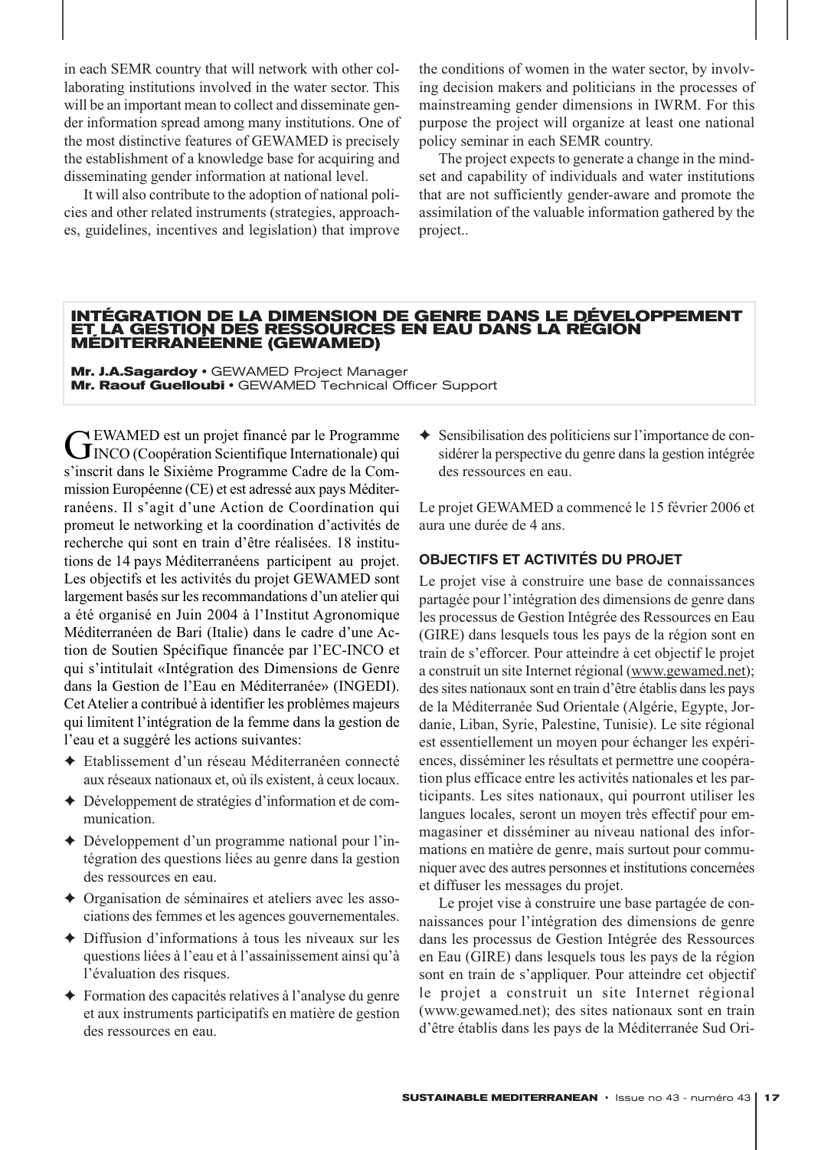in each SEMR country that will network with other collaborating institutions involved in the water sector. This will be an important mean to collect and disseminate gender information spread among many institutions. One of the most distinctive features of GEWAMED is precisely the establishment of a knowledge base for acquiring and disseminating gender information at national level.

It will also contribute to the adoption of national policies and other related instruments (strategies, approaches, guidelines, incentives and legislation) that improve the conditions of women in the water sector, by involving decision makers and politicians in the processes of mainstreaming gender dimensions in IWRM. For this purpose the project will organize at least one national policy seminar in each SEMR country.

The project expects to generate a change in the mindset and capability of individuals and water institutions that are not sufficiently gender-aware and promote the assimilation of the valuable information gathered by the project..

#### **INTÉGRATION DE LA DIMENSION DE GENRE DANS LE DÉVELOPPEMENT ET LA GESTION DES RESSOURCES EN EAU DANS LA RÉGION MÉDITERRANÉENNE (GEWAMED)**

**Mr. J.A.Sagardoy · GEWAMED Project Manager** Mr. Raouf **Guelloubi • GEWAMED** Technical Officer Support

GEWAMED est un projet financé par le Programme<br>
INCO (Coopération Scientifique Internationale) qui s'inscrit dans le Sixième Programme Cadre de la Commission Européenne (CE) et est adressé aux pays Méditerranéens. Il s'agit d'une Action de Coordination qui promeut le networking et la coordination d'activités de recherche qui sont en train d'être réalisées. 18 institutions de 14 pays Méditerranéens participent au projet. Les objectifs et les activités du projet GEWAMED sont largement basés sur les recommandations d'un atelier qui a été organisé en Juin 2004 à l'Institut Agronomique Méditerranéen de Bari (Italie) dans le cadre d'une Action de Soutien Spécifique financée par l'EC-INCO et qui s'intitulait «Intégration des Dimensions de Genre dans la Gestion de l'Eau en Méditerranée» (INGEDI). Cet Atelier a contribué à identifier les problèmes majeurs qui limitent l'intégration de la femme dans la gestion de l'eau et a suggéré les actions suivantes:

- ✦ Etablissement d'un réseau Méditerranéen connecté aux réseaux nationaux et, où ils existent, à ceux locaux.
- ✦ Développement de stratégies d'information et de communication.
- ✦ Développement d'un programme national pour l'intégration des questions liées au genre dans la gestion des ressources en eau.
- ✦ Organisation de séminaires et ateliers avec les associations des femmes et les agences gouvernementales.
- ✦ Diffusion d'informations à tous les niveaux sur les questions liées à l'eau et à l'assainissement ainsi qu'à l'évaluation des risques.
- ✦ Formation des capacités relatives à l'analyse du genre et aux instruments participatifs en matière de gestion des ressources en eau.

✦ Sensibilisation des politiciens sur l'importance de considérer la perspective du genre dans la gestion intégrée des ressources en eau.

Le projet GEWAMED a commencé le 15 février 2006 et aura une durée de 4 ans.

# **OBJECTIFS ET ACTIVITÉS DU PROJET**

Le projet vise à construire une base de connaissances partagée pour l'intégration des dimensions de genre dans les processus de Gestion Intégrée des Ressources en Eau (GIRE) dans lesquels tous les pays de la région sont en train de s'efforcer. Pour atteindre à cet objectif le projet a construit un site Internet régional (www.gewamed.net); des sites nationaux sont en train d'être établis dans les pays de la Méditerranée Sud Orientale (Algérie, Egypte, Jordanie, Liban, Syrie, Palestine, Tunisie). Le site régional est essentiellement un moyen pour échanger les expériences, disséminer les résultats et permettre une coopération plus efficace entre les activités nationales et les participants. Les sites nationaux, qui pourront utiliser les langues locales, seront un moyen très effectif pour emmagasiner et disséminer au niveau national des informations en matière de genre, mais surtout pour communiquer avec des autres personnes et institutions concernées et diffuser les messages du projet.

Le projet vise à construire une base partagée de connaissances pour l'intégration des dimensions de genre dans les processus de Gestion Intégrée des Ressources en Eau (GIRE) dans lesquels tous les pays de la région sont en train de s'appliquer. Pour atteindre cet objectif le projet a construit un site Internet régional (www.gewamed.net); des sites nationaux sont en train d'être établis dans les pays de la Méditerranée Sud Ori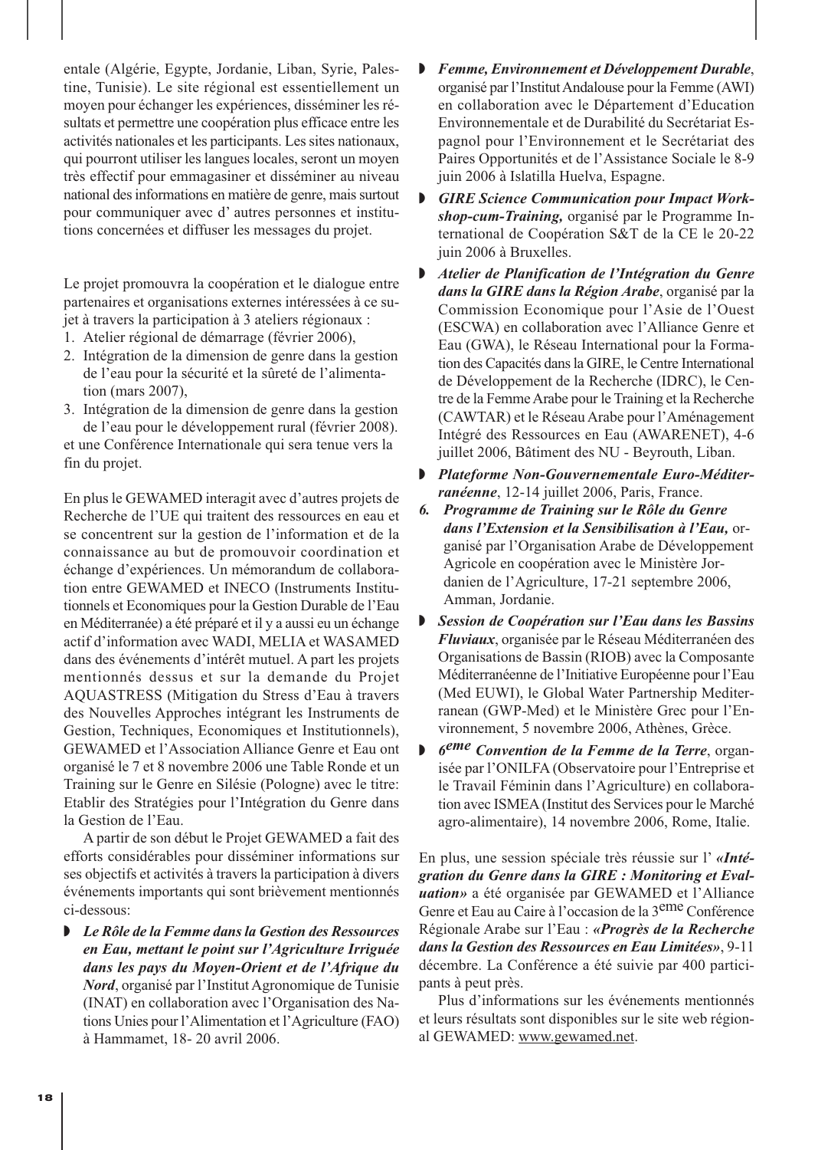entale (Algérie, Egypte, Jordanie, Liban, Syrie, Palestine, Tunisie). Le site régional est essentiellement un moyen pour échanger les expériences, disséminer les résultats et permettre une coopération plus efficace entre les activités nationales et les participants. Les sites nationaux, qui pourront utiliser les langues locales, seront un moyen très effectif pour emmagasiner et disséminer au niveau national des informations en matière de genre, mais surtout pour communiquer avec d' autres personnes et institutions concernées et diffuser les messages du projet.

Le projet promouvra la coopération et le dialogue entre partenaires et organisations externes intéressées à ce sujet à travers la participation à 3 ateliers régionaux :

- 1. Atelier régional de démarrage (février 2006),
- 2. Intégration de la dimension de genre dans la gestion de l'eau pour la sécurité et la sûreté de l'alimentation (mars 2007),
- 3. Intégration de la dimension de genre dans la gestion de l'eau pour le développement rural (février 2008). et une Conférence Internationale qui sera tenue vers la fin du projet.

En plus le GEWAMED interagit avec d'autres projets de Recherche de l'UE qui traitent des ressources en eau et se concentrent sur la gestion de l'information et de la connaissance au but de promouvoir coordination et échange d'expériences. Un mémorandum de collaboration entre GEWAMED et INECO (Instruments Institutionnels et Economiques pour la Gestion Durable de l'Eau en Méditerranée) a été préparé et il y a aussi eu un échange actif d'information avec WADI, MELIA et WASAMED dans des événements d'intérêt mutuel. A part les projets mentionnés dessus et sur la demande du Projet AQUASTRESS (Mitigation du Stress d'Eau à travers des Nouvelles Approches intégrant les Instruments de Gestion, Techniques, Economiques et Institutionnels), GEWAMED et l'Association Alliance Genre et Eau ont organisé le 7 et 8 novembre 2006 une Table Ronde et un Training sur le Genre en Silésie (Pologne) avec le titre: Etablir des Stratégies pour l'Intégration du Genre dans la Gestion de l'Eau.

A partir de son début le Projet GEWAMED a fait des efforts considérables pour disséminer informations sur ses objectifs et activités à travers la participation à divers événements importants qui sont brièvement mentionnés ci-dessous:

◗ *Le Rôle de la Femme dans la Gestion des Ressources en Eau, mettant le point sur l'Agriculture Irriguée dans les pays du Moyen-Orient et de l'Afrique du Nord*, organisé par l'Institut Agronomique de Tunisie (INAT) en collaboration avec l'Organisation des Nations Unies pour l'Alimentation et l'Agriculture (FAO) à Hammamet, 18- 20 avril 2006.

- ◗ *Femme, Environnement et Développement Durable*, organisé par l'Institut Andalouse pour la Femme (AWI) en collaboration avec le Département d'Education Environnementale et de Durabilité du Secrétariat Espagnol pour l'Environnement et le Secrétariat des Paires Opportunités et de l'Assistance Sociale le 8-9 juin 2006 à Islatilla Huelva, Espagne.
- ◗ *GIRE Science Communication pour Impact Workshop-cum-Training,* organisé par le Programme International de Coopération S&T de la CE le 20-22 juin 2006 à Bruxelles.
- ◗ *Atelier de Planification de l'Intégration du Genre dans la GIRE dans la Région Arabe*, organisé par la Commission Economique pour l'Asie de l'Ouest (ESCWA) en collaboration avec l'Alliance Genre et Eau (GWA), le Réseau International pour la Formation des Capacités dans la GIRE, le Centre International de Développement de la Recherche (IDRC), le Centre de la Femme Arabe pour le Training et la Recherche (CAWTAR) et le Réseau Arabe pour l'Aménagement Intégré des Ressources en Eau (AWARENET), 4-6 juillet 2006, Bâtiment des NU - Beyrouth, Liban.
- ◗ *Plateforme Non-Gouvernementale Euro-Méditerranéenne*, 12-14 juillet 2006, Paris, France.
- *6. Programme de Training sur le Rôle du Genre dans l'Extension et la Sensibilisation à l'Eau,* organisé par l'Organisation Arabe de Développement Agricole en coopération avec le Ministère Jordanien de l'Agriculture, 17-21 septembre 2006, Amman, Jordanie.
- ◗ *Session de Coopération sur l'Eau dans les Bassins Fluviaux*, organisée par le Réseau Méditerranéen des Organisations de Bassin (RIOB) avec la Composante Méditerranéenne de l'Initiative Européenne pour l'Eau (Med EUWI), le Global Water Partnership Mediterranean (GWP-Med) et le Ministère Grec pour l'Environnement, 5 novembre 2006, Athènes, Grèce.
- ◗ *6eme Convention de la Femme de la Terre*, organisée par l'ONILFA (Observatoire pour l'Entreprise et le Travail Féminin dans l'Agriculture) en collaboration avec ISMEA (Institut des Services pour le Marché agro-alimentaire), 14 novembre 2006, Rome, Italie.

En plus, une session spéciale très réussie sur l' *«Intégration du Genre dans la GIRE : Monitoring et Evaluation»* a été organisée par GEWAMED et l'Alliance Genre et Eau au Caire à l'occasion de la 3eme Conférence Régionale Arabe sur l'Eau : *«Progrès de la Recherche dans la Gestion des Ressources en Eau Limitées»*, 9-11 décembre. La Conférence a été suivie par 400 participants à peut près.

Plus d'informations sur les événements mentionnés et leurs résultats sont disponibles sur le site web régional GEWAMED: www.gewamed.net.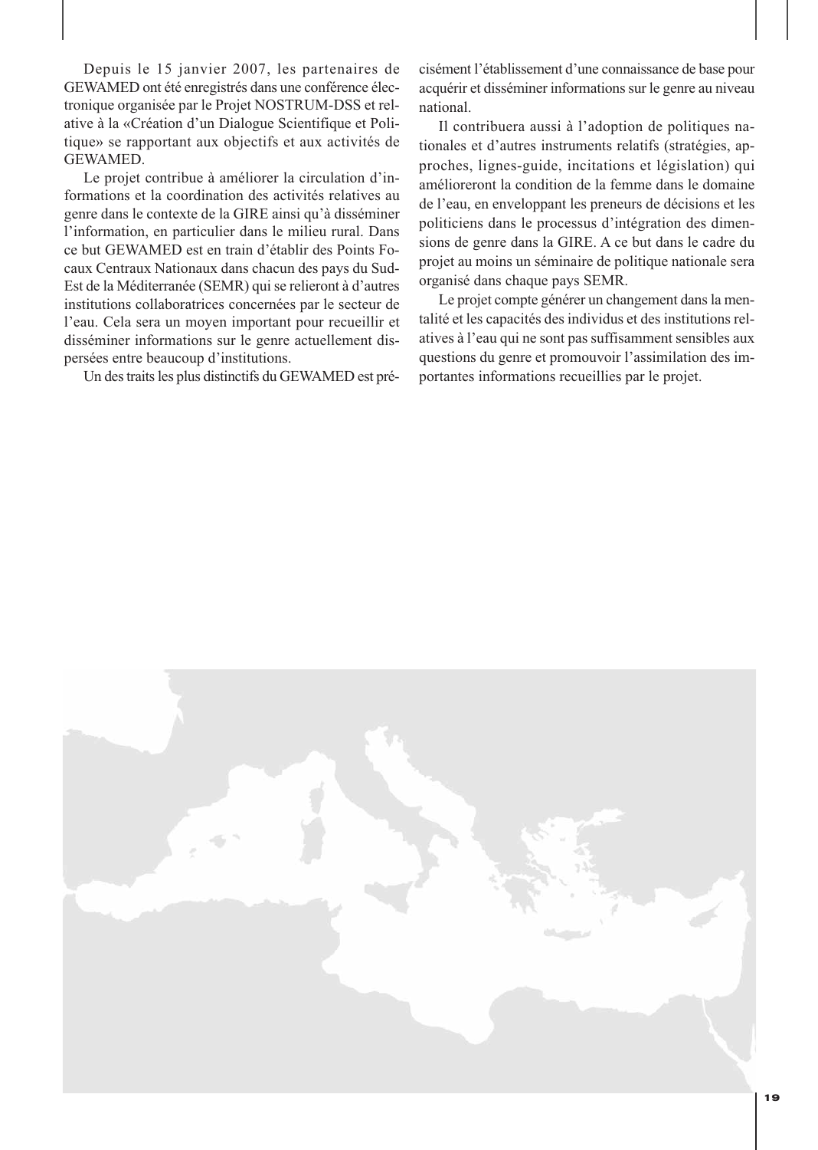Depuis le 15 janvier 2007, les partenaires de GEWAMED ont été enregistrés dans une conférence électronique organisée par le Projet NOSTRUM-DSS et relative à la «Création d'un Dialogue Scientifique et Politique» se rapportant aux objectifs et aux activités de GEWAMED.

Le projet contribue à améliorer la circulation d'informations et la coordination des activités relatives au genre dans le contexte de la GIRE ainsi qu'à disséminer l'information, en particulier dans le milieu rural. Dans ce but GEWAMED est en train d'établir des Points Focaux Centraux Nationaux dans chacun des pays du Sud-Est de la Méditerranée (SEMR) qui se relieront à d'autres institutions collaboratrices concernées par le secteur de l'eau. Cela sera un moyen important pour recueillir et disséminer informations sur le genre actuellement dispersées entre beaucoup d'institutions.

Un des traits les plus distinctifs du GEWAMED est pré-

cisément l'établissement d'une connaissance de base pour acquérir et disséminer informations sur le genre au niveau national.

Il contribuera aussi à l'adoption de politiques nationales et d'autres instruments relatifs (stratégies, approches, lignes-guide, incitations et législation) qui amélioreront la condition de la femme dans le domaine de l'eau, en enveloppant les preneurs de décisions et les politiciens dans le processus d'intégration des dimensions de genre dans la GIRE. A ce but dans le cadre du projet au moins un séminaire de politique nationale sera organisé dans chaque pays SEMR.

Le projet compte générer un changement dans la mentalité et les capacités des individus et des institutions relatives à l'eau qui ne sont pas suffisamment sensibles aux questions du genre et promouvoir l'assimilation des importantes informations recueillies par le projet.